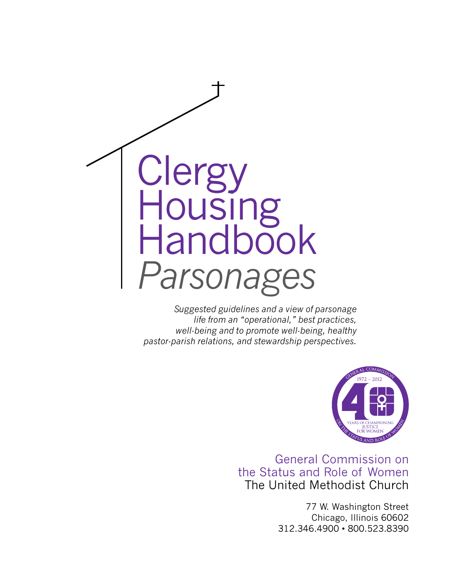

*Suggested guidelines and a view of parsonage life from an "operational," best practices, well-being and to promote well-being, healthy pastor-parish relations, and stewardship perspectives.* 



General Commission on the Status and Role of Women The United Methodist Church

> 77 W. Washington Street Chicago, Illinois 60602 312.346.4900 • 800.523.8390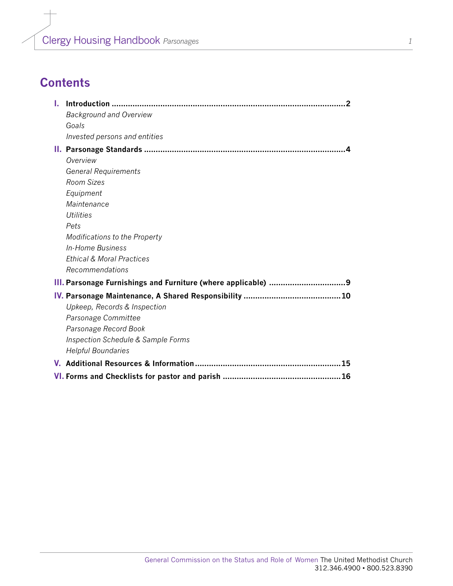## **Contents**

| L.                                   |  |
|--------------------------------------|--|
| <b>Background and Overview</b>       |  |
| Goals                                |  |
| Invested persons and entities        |  |
|                                      |  |
| Overview                             |  |
| <b>General Requirements</b>          |  |
| Room Sizes                           |  |
| Equipment                            |  |
| Maintenance                          |  |
| Utilities                            |  |
| Pets                                 |  |
| <b>Modifications to the Property</b> |  |
| In-Home Business                     |  |
| <b>Ethical &amp; Moral Practices</b> |  |
| Recommendations                      |  |
|                                      |  |
|                                      |  |
| Upkeep, Records & Inspection         |  |
| Parsonage Committee                  |  |
| Parsonage Record Book                |  |
| Inspection Schedule & Sample Forms   |  |
| <b>Helpful Boundaries</b>            |  |
| .15                                  |  |
|                                      |  |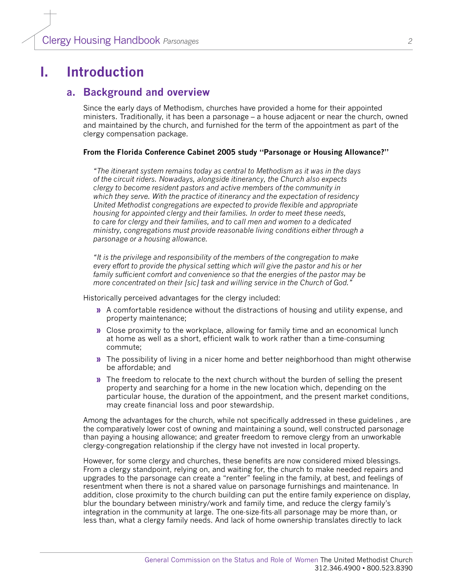### **I. Introduction**

#### **a. Background and overview**

Since the early days of Methodism, churches have provided a home for their appointed ministers. Traditionally, it has been a parsonage – a house adjacent or near the church, owned and maintained by the church, and furnished for the term of the appointment as part of the clergy compensation package.

#### **From the Florida Conference Cabinet 2005 study "Parsonage or Housing Allowance?"**

*"The itinerant system remains today as central to Methodism as it was in the days of the circuit riders. Nowadays, alongside itinerancy, the Church also expects clergy to become resident pastors and active members of the community in which they serve. With the practice of itinerancy and the expectation of residency United Methodist congregations are expected to provide flexible and appropriate housing for appointed clergy and their families. In order to meet these needs, to care for clergy and their families, and to call men and women to a dedicated ministry, congregations must provide reasonable living conditions either through a parsonage or a housing allowance.*

*"It is the privilege and responsibility of the members of the congregation to make every effort to provide the physical setting which will give the pastor and his or her family sufficient comfort and convenience so that the energies of the pastor may be more concentrated on their [sic] task and willing service in the Church of God."*

Historically perceived advantages for the clergy included:

- **»** A comfortable residence without the distractions of housing and utility expense, and property maintenance;
- **»** Close proximity to the workplace, allowing for family time and an economical lunch at home as well as a short, efficient walk to work rather than a time-consuming commute;
- **»** The possibility of living in a nicer home and better neighborhood than might otherwise be affordable; and
- **»** The freedom to relocate to the next church without the burden of selling the present property and searching for a home in the new location which, depending on the particular house, the duration of the appointment, and the present market conditions, may create financial loss and poor stewardship.

Among the advantages for the church, while not specifically addressed in these guidelines , are the comparatively lower cost of owning and maintaining a sound, well constructed parsonage than paying a housing allowance; and greater freedom to remove clergy from an unworkable clergy-congregation relationship if the clergy have not invested in local property.

However, for some clergy and churches, these benefits are now considered mixed blessings. From a clergy standpoint, relying on, and waiting for, the church to make needed repairs and upgrades to the parsonage can create a "renter" feeling in the family, at best, and feelings of resentment when there is not a shared value on parsonage furnishings and maintenance. In addition, close proximity to the church building can put the entire family experience on display, blur the boundary between ministry/work and family time, and reduce the clergy family's integration in the community at large. The one-size-fits-all parsonage may be more than, or less than, what a clergy family needs. And lack of home ownership translates directly to lack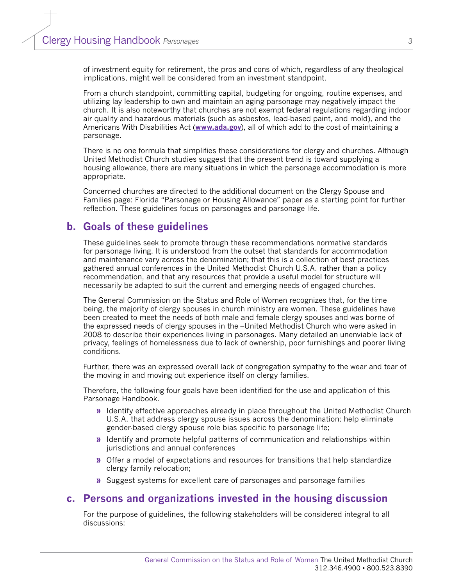of investment equity for retirement, the pros and cons of which, regardless of any theological implications, might well be considered from an investment standpoint.

From a church standpoint, committing capital, budgeting for ongoing, routine expenses, and utilizing lay leadership to own and maintain an aging parsonage may negatively impact the church. It is also noteworthy that churches are not exempt federal regulations regarding indoor air quality and hazardous materials (such as asbestos, lead-based paint, and mold), and the Americans With Disabilities Act (**[www.ada.gov](file:///C:\Documents and Settings\Garlinda Burton\Local Settings\Temp\www.ada.gov)**), all of which add to the cost of maintaining a parsonage.

There is no one formula that simplifies these considerations for clergy and churches. Although United Methodist Church studies suggest that the present trend is toward supplying a housing allowance, there are many situations in which the parsonage accommodation is more appropriate.

Concerned churches are directed to the additional document on the Clergy Spouse and Families page: Florida "Parsonage or Housing Allowance" paper as a starting point for further reflection. These guidelines focus on parsonages and parsonage life.

### **b. Goals of these guidelines**

These guidelines seek to promote through these recommendations normative standards for parsonage living. It is understood from the outset that standards for accommodation and maintenance vary across the denomination; that this is a collection of best practices gathered annual conferences in the United Methodist Church U.S.A. rather than a policy recommendation, and that any resources that provide a useful model for structure will necessarily be adapted to suit the current and emerging needs of engaged churches.

The General Commission on the Status and Role of Women recognizes that, for the time being, the majority of clergy spouses in church ministry are women. These guidelines have been created to meet the needs of both male and female clergy spouses and was borne of the expressed needs of clergy spouses in the –United Methodist Church who were asked in 2008 to describe their experiences living in parsonages. Many detailed an unenviable lack of privacy, feelings of homelessness due to lack of ownership, poor furnishings and poorer living conditions.

Further, there was an expressed overall lack of congregation sympathy to the wear and tear of the moving in and moving out experience itself on clergy families.

Therefore, the following four goals have been identified for the use and application of this Parsonage Handbook.

- **»** Identify effective approaches already in place throughout the United Methodist Church U.S.A. that address clergy spouse issues across the denomination; help eliminate gender-based clergy spouse role bias specific to parsonage life;
- **»** Identify and promote helpful patterns of communication and relationships within jurisdictions and annual conferences
- **»** Offer a model of expectations and resources for transitions that help standardize clergy family relocation;
- **»** Suggest systems for excellent care of parsonages and parsonage families

### **c. Persons and organizations invested in the housing discussion**

For the purpose of guidelines, the following stakeholders will be considered integral to all discussions: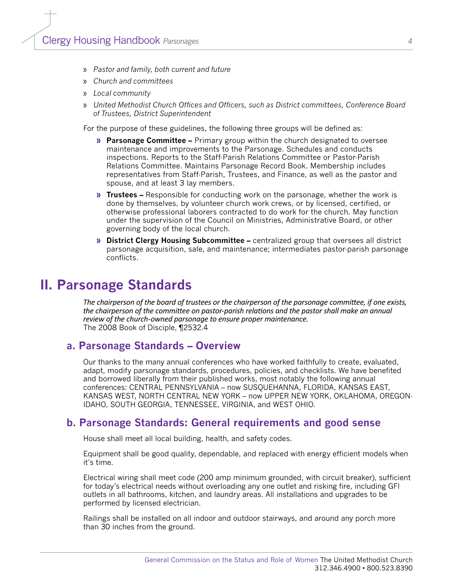- » *Pastor and family, both current and future*
- » *Church and committees*
- » *Local community*
- » *United Methodist Church Offices and Officers, such as District committees, Conference Board of Trustees, District Superintendent*

For the purpose of these guidelines, the following three groups will be defined as:

- **» Parsonage Committee** Primary group within the church designated to oversee maintenance and improvements to the Parsonage. Schedules and conducts inspections. Reports to the Staff-Parish Relations Committee or Pastor-Parish Relations Committee. Maintains Parsonage Record Book. Membership includes representatives from Staff-Parish, Trustees, and Finance, as well as the pastor and spouse, and at least 3 lay members.
- **» Trustees** Responsible for conducting work on the parsonage, whether the work is done by themselves, by volunteer church work crews, or by licensed, certified, or otherwise professional laborers contracted to do work for the church. May function under the supervision of the Council on Ministries, Administrative Board, or other governing body of the local church.
- **» District Clergy Housing Subcommittee** centralized group that oversees all district parsonage acquisition, sale, and maintenance; intermediates pastor-parish parsonage conflicts.

### **II. Parsonage Standards**

*The chairperson of the board of trustees or the chairperson of the parsonage committee, if one exists, the chairperson of the committee on pastor-parish relations and the pastor shall make an annual review of the church-owned parsonage to ensure proper maintenance.* The 2008 Book of Disciple, *¶*2532.4

#### **a. Parsonage Standards – Overview**

Our thanks to the many annual conferences who have worked faithfully to create, evaluated, adapt, modify parsonage standards, procedures, policies, and checklists. We have benefited and borrowed liberally from their published works, most notably the following annual conferences: CENTRAL PENNSYLVANIA – now SUSQUEHANNA, FLORIDA, KANSAS EAST, KANSAS WEST, NORTH CENTRAL NEW YORK – now UPPER NEW YORK, OKLAHOMA, OREGON-IDAHO, SOUTH GEORGIA, TENNESSEE, VIRGINIA, and WEST OHIO.

#### **b. Parsonage Standards: General requirements and good sense**

House shall meet all local building, health, and safety codes.

Equipment shall be good quality, dependable, and replaced with energy efficient models when it's time.

Electrical wiring shall meet code (200 amp minimum grounded, with circuit breaker), sufficient for today's electrical needs without overloading any one outlet and risking fire, including GFI outlets in all bathrooms, kitchen, and laundry areas. All installations and upgrades to be performed by licensed electrician.

Railings shall be installed on all indoor and outdoor stairways, and around any porch more than 30 inches from the ground.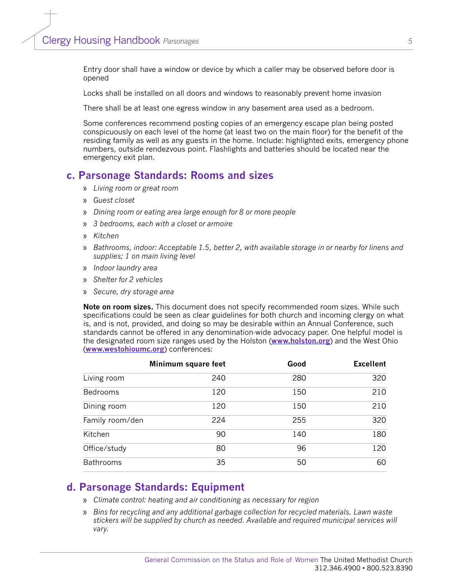Entry door shall have a window or device by which a caller may be observed before door is opened

Locks shall be installed on all doors and windows to reasonably prevent home invasion

There shall be at least one egress window in any basement area used as a bedroom.

Some conferences recommend posting copies of an emergency escape plan being posted conspicuously on each level of the home (at least two on the main floor) for the benefit of the residing family as well as any guests in the home. Include: highlighted exits, emergency phone numbers, outside rendezvous point. Flashlights and batteries should be located near the emergency exit plan.

#### **c. Parsonage Standards: Rooms and sizes**

- » *Living room or great room*
- » *Guest closet*
- » *Dining room or eating area large enough for 8 or more people*
- » *3 bedrooms, each with a closet or armoire*
- » *Kitchen*
- » *Bathrooms, indoor: Acceptable 1.5, better 2, with available storage in or nearby for linens and supplies; 1 on main living level*
- » *Indoor laundry area*
- » *Shelter for 2 vehicles*
- » *Secure, dry storage area*

**Note on room sizes.** This document does not specify recommended room sizes. While such specifications could be seen as clear guidelines for both church and incoming clergy on what is, and is not, provided, and doing so may be desirable within an Annual Conference, such standards cannot be offered in any denomination-wide advocacy paper. One helpful model is the designated room size ranges used by the Holston (**[www.holston.org](http://www.holston.org)**) and the West Ohio (**[www.westohioumc.org](http://www.westohioumc.org)**) conferences:

|                  | Minimum square feet | Good | <b>Excellent</b> |
|------------------|---------------------|------|------------------|
| Living room      | 240                 | 280  | 320              |
| Bedrooms         | 120                 | 150  | 210              |
| Dining room      | 120                 | 150  | 210              |
| Family room/den  | 224                 | 255  | 320              |
| Kitchen          | 90                  | 140  | 180              |
| Office/study     | 80                  | 96   | 120              |
| <b>Bathrooms</b> | 35                  | 50   | 60               |

#### **d. Parsonage Standards: Equipment**

- » *Climate control: heating and air conditioning as necessary for region*
- » *Bins for recycling and any additional garbage collection for recycled materials. Lawn waste stickers will be supplied by church as needed. Available and required municipal services will vary.*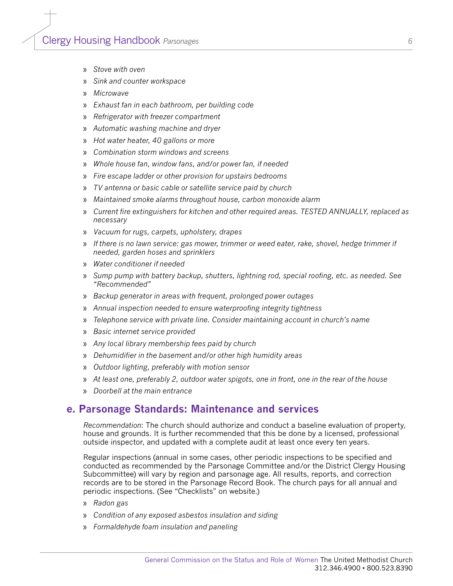- » *Stove with oven*
- » *Sink and counter workspace*
- » *Microwave*
- » *Exhaust fan in each bathroom, per building code*
- » *Refrigerator with freezer compartment*
- » *Automatic washing machine and dryer*
- » *Hot water heater, 40 gallons or more*
- » *Combination storm windows and screens*
- » *Whole house fan, window fans, and/or power fan, if needed*
- » *Fire escape ladder or other provision for upstairs bedrooms*
- » *TV antenna or basic cable or satellite service paid by church*
- » *Maintained smoke alarms throughout house, carbon monoxide alarm*
- » *Current fire extinguishers for kitchen and other required areas. TESTED ANNUALLY, replaced as necessary*
- » *Vacuum for rugs, carpets, upholstery, drapes*
- » *If there is no lawn service: gas mower, trimmer or weed eater, rake, shovel, hedge trimmer if needed, garden hoses and sprinklers*
- » *Water conditioner if needed*
- » *Sump pump with battery backup, shutters, lightning rod, special roofing, etc. as needed. See "Recommended"*
- » *Backup generator in areas with frequent, prolonged power outages*
- » *Annual inspection needed to ensure waterproofing integrity tightness*
- » *Telephone service with private line. Consider maintaining account in church's name*
- » *Basic internet service provided*
- » *Any local library membership fees paid by church*
- » *Dehumidifier in the basement and/or other high humidity areas*
- » *Outdoor lighting, preferably with motion sensor*
- » *At least one, preferably 2, outdoor water spigots, one in front, one in the rear of the house*
- » *Doorbell at the main entrance*

#### **e. Parsonage Standards: Maintenance and services**

*Recommendation*: The church should authorize and conduct a baseline evaluation of property, house and grounds. It is further recommended that this be done by a licensed, professional outside inspector, and updated with a complete audit at least once every ten years.

Regular inspections (annual in some cases, other periodic inspections to be specified and conducted as recommended by the Parsonage Committee and/or the District Clergy Housing Subcommittee) will vary by region and parsonage age. All results, reports, and correction records are to be stored in the Parsonage Record Book. The church pays for all annual and periodic inspections. (See "Checklists" on website.)

- » *Radon gas*
- » *Condition of any exposed asbestos insulation and siding*
- » *Formaldehyde foam insulation and paneling*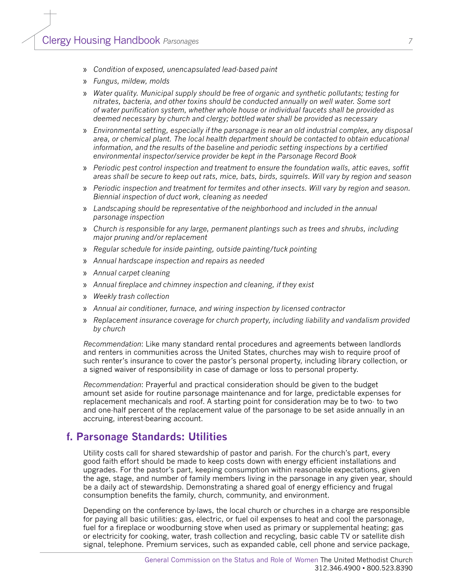- » *Condition of exposed, unencapsulated lead-based paint*
- » *Fungus, mildew, molds*
- » *Water quality. Municipal supply should be free of organic and synthetic pollutants; testing for nitrates, bacteria, and other toxins should be conducted annually on well water. Some sort of water purification system, whether whole house or individual faucets shall be provided as deemed necessary by church and clergy; bottled water shall be provided as necessary*
- » *Environmental setting, especially if the parsonage is near an old industrial complex, any disposal area, or chemical plant. The local health department should be contacted to obtain educational information, and the results of the baseline and periodic setting inspections by a certified environmental inspector/service provider be kept in the Parsonage Record Book*
- » *Periodic pest control inspection and treatment to ensure the foundation walls, attic eaves, soffit areas shall be secure to keep out rats, mice, bats, birds, squirrels. Will vary by region and season*
- » *Periodic inspection and treatment for termites and other insects. Will vary by region and season. Biennial inspection of duct work, cleaning as needed*
- » *Landscaping should be representative of the neighborhood and included in the annual parsonage inspection*
- » *Church is responsible for any large, permanent plantings such as trees and shrubs, including major pruning and/or replacement*
- » *Regular schedule for inside painting, outside painting/tuck pointing*
- » *Annual hardscape inspection and repairs as needed*
- » *Annual carpet cleaning*
- » *Annual fireplace and chimney inspection and cleaning, if they exist*
- » *Weekly trash collection*
- » *Annual air conditioner, furnace, and wiring inspection by licensed contractor*
- » *Replacement insurance coverage for church property, including liability and vandalism provided by church*

*Recommendation*: Like many standard rental procedures and agreements between landlords and renters in communities across the United States, churches may wish to require proof of such renter's insurance to cover the pastor's personal property, including library collection, or a signed waiver of responsibility in case of damage or loss to personal property.

*Recommendation*: Prayerful and practical consideration should be given to the budget amount set aside for routine parsonage maintenance and for large, predictable expenses for replacement mechanicals and roof. A starting point for consideration may be to two- to two and one-half percent of the replacement value of the parsonage to be set aside annually in an accruing, interest-bearing account.

#### **f. Parsonage Standards: Utilities**

Utility costs call for shared stewardship of pastor and parish. For the church's part, every good faith effort should be made to keep costs down with energy efficient installations and upgrades. For the pastor's part, keeping consumption within reasonable expectations, given the age, stage, and number of family members living in the parsonage in any given year, should be a daily act of stewardship. Demonstrating a shared goal of energy efficiency and frugal consumption benefits the family, church, community, and environment.

Depending on the conference by-laws, the local church or churches in a charge are responsible for paying all basic utilities: gas, electric, or fuel oil expenses to heat and cool the parsonage, fuel for a fireplace or woodburning stove when used as primary or supplemental heating; gas or electricity for cooking, water, trash collection and recycling, basic cable TV or satellite dish signal, telephone. Premium services, such as expanded cable, cell phone and service package,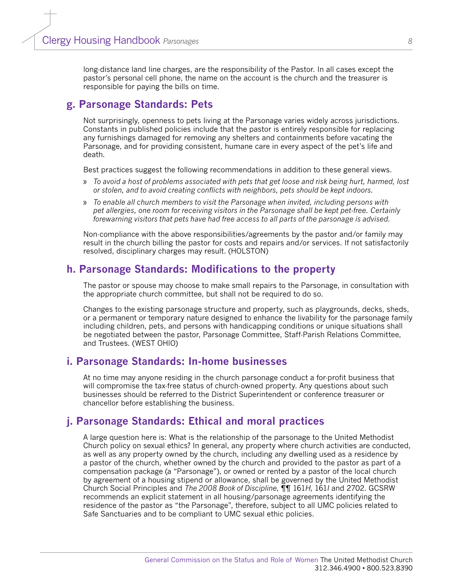long-distance land line charges, are the responsibility of the Pastor. In all cases except the pastor's personal cell phone, the name on the account is the church and the treasurer is responsible for paying the bills on time.

### **g. Parsonage Standards: Pets**

Not surprisingly, openness to pets living at the Parsonage varies widely across jurisdictions. Constants in published policies include that the pastor is entirely responsible for replacing any furnishings damaged for removing any shelters and containments before vacating the Parsonage, and for providing consistent, humane care in every aspect of the pet's life and death.

Best practices suggest the following recommendations in addition to these general views.

- » *To avoid a host of problems associated with pets that get loose and risk being hurt, harmed, lost or stolen, and to avoid creating conflicts with neighbors, pets should be kept indoors.*
- » *To enable all church members to visit the Parsonage when invited, including persons with pet allergies, one room for receiving visitors in the Parsonage shall be kept pet-free. Certainly forewarning visitors that pets have had free access to all parts of the parsonage is advised.*

Non-compliance with the above responsibilities/agreements by the pastor and/or family may result in the church billing the pastor for costs and repairs and/or services. If not satisfactorily resolved, disciplinary charges may result. (HOLSTON)

### **h. Parsonage Standards: Modifications to the property**

The pastor or spouse may choose to make small repairs to the Parsonage, in consultation with the appropriate church committee, but shall not be required to do so.

Changes to the existing parsonage structure and property, such as playgrounds, decks, sheds, or a permanent or temporary nature designed to enhance the livability for the parsonage family including children, pets, and persons with handicapping conditions or unique situations shall be negotiated between the pastor, Parsonage Committee, Staff-Parish Relations Committee, and Trustees. (WEST OHIO)

#### **i. Parsonage Standards: In-home businesses**

At no time may anyone residing in the church parsonage conduct a for-profit business that will compromise the tax-free status of church-owned property. Any questions about such businesses should be referred to the District Superintendent or conference treasurer or chancellor before establishing the business.

### **j. Parsonage Standards: Ethical and moral practices**

A large question here is: What is the relationship of the parsonage to the United Methodist Church policy on sexual ethics? In general, any property where church activities are conducted, as well as any property owned by the church, including any dwelling used as a residence by a pastor of the church, whether owned by the church and provided to the pastor as part of a compensation package (a "Parsonage"), or owned or rented by a pastor of the local church by agreement of a housing stipend or allowance, shall be governed by the United Methodist Church Social Principles and *The 2008 Book of Discipline*, ¶¶ 161*H,* 161*I* and 2702. GCSRW recommends an explicit statement in all housing/parsonage agreements identifying the residence of the pastor as "the Parsonage", therefore, subject to all UMC policies related to Safe Sanctuaries and to be compliant to UMC sexual ethic policies.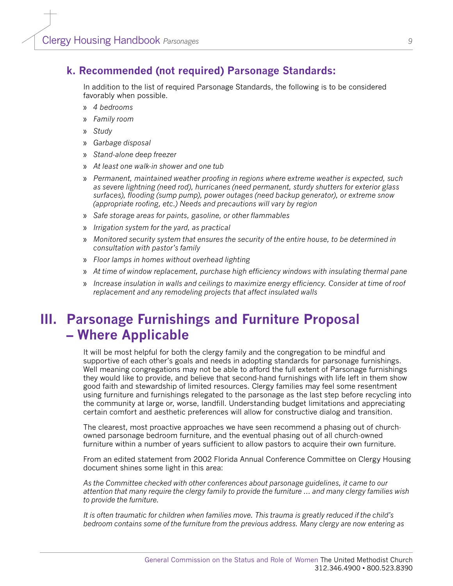### **k. Recommended (not required) Parsonage Standards:**

In addition to the list of required Parsonage Standards, the following is to be considered favorably when possible.

- » *4 bedrooms*
- » *Family room*
- » *Study*
- » *Garbage disposal*
- » *Stand-alone deep freezer*
- » *At least one walk-in shower and one tub*
- » *Permanent, maintained weather proofing in regions where extreme weather is expected, such as severe lightning (need rod), hurricanes (need permanent, sturdy shutters for exterior glass surfaces), flooding (sump pump), power outages (need backup generator), or extreme snow (appropriate roofing, etc.) Needs and precautions will vary by region*
- » *Safe storage areas for paints, gasoline, or other flammables*
- » *Irrigation system for the yard, as practical*
- » *Monitored security system that ensures the security of the entire house, to be determined in consultation with pastor's family*
- » *Floor lamps in homes without overhead lighting*
- » *At time of window replacement, purchase high efficiency windows with insulating thermal pane*
- » *Increase insulation in walls and ceilings to maximize energy efficiency. Consider at time of roof replacement and any remodeling projects that affect insulated walls*

### **III. Parsonage Furnishings and Furniture Proposal – Where Applicable**

It will be most helpful for both the clergy family and the congregation to be mindful and supportive of each other's goals and needs in adopting standards for parsonage furnishings. Well meaning congregations may not be able to afford the full extent of Parsonage furnishings they would like to provide, and believe that second-hand furnishings with life left in them show good faith and stewardship of limited resources. Clergy families may feel some resentment using furniture and furnishings relegated to the parsonage as the last step before recycling into the community at large or, worse, landfill. Understanding budget limitations and appreciating certain comfort and aesthetic preferences will allow for constructive dialog and transition.

The clearest, most proactive approaches we have seen recommend a phasing out of churchowned parsonage bedroom furniture, and the eventual phasing out of all church-owned furniture within a number of years sufficient to allow pastors to acquire their own furniture.

From an edited statement from 2002 Florida Annual Conference Committee on Clergy Housing document shines some light in this area:

*As the Committee checked with other conferences about parsonage guidelines, it came to our attention that many require the clergy family to provide the furniture … and many clergy families wish to provide the furniture.* 

*It is often traumatic for children when families move. This trauma is greatly reduced if the child's bedroom contains some of the furniture from the previous address. Many clergy are now entering as*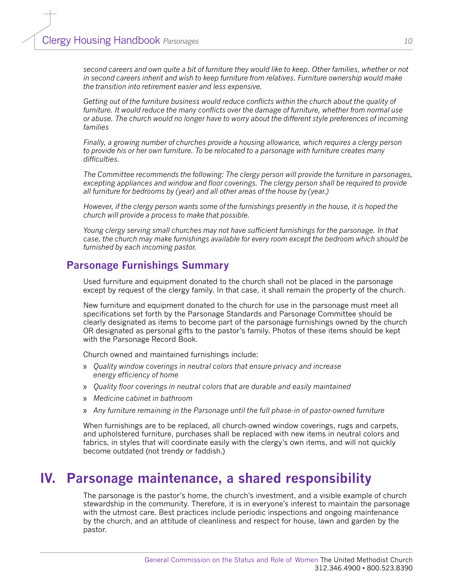*second careers and own quite a bit of furniture they would like to keep. Other families, whether or not in second careers inherit and wish to keep furniture from relatives. Furniture ownership would make the transition into retirement easier and less expensive.* 

*Getting out of the furniture business would reduce conflicts within the church about the quality of furniture. It would reduce the many conflicts over the damage of furniture, whether from normal use or abuse. The church would no longer have to worry about the different style preferences of incoming families*

*Finally, a growing number of churches provide a housing allowance, which requires a clergy person to provide his or her own furniture. To be relocated to a parsonage with furniture creates many difficulties.* 

*The Committee recommends the following: The clergy person will provide the furniture in parsonages, excepting appliances and window and floor coverings. The clergy person shall be required to provide all furniture for bedrooms by (year) and all other areas of the house by (year.)*

*However, if the clergy person wants some of the furnishings presently in the house, it is hoped the church will provide a process to make that possible.* 

*Young clergy serving small churches may not have sufficient furnishings for the parsonage. In that case, the church may make furnishings available for every room except the bedroom which should be furnished by each incoming pastor.*

### **Parsonage Furnishings Summary**

Used furniture and equipment donated to the church shall not be placed in the parsonage except by request of the clergy family. In that case, it shall remain the property of the church.

New furniture and equipment donated to the church for use in the parsonage must meet all specifications set forth by the Parsonage Standards and Parsonage Committee should be clearly designated as items to become part of the parsonage furnishings owned by the church OR designated as personal gifts to the pastor's family. Photos of these items should be kept with the Parsonage Record Book.

Church owned and maintained furnishings include:

- » *Quality window coverings in neutral colors that ensure privacy and increase energy efficiency of home*
- » *Quality floor coverings in neutral colors that are durable and easily maintained*
- » *Medicine cabinet in bathroom*
- » *Any furniture remaining in the Parsonage until the full phase-in of pastor-owned furniture*

When furnishings are to be replaced, all church-owned window coverings, rugs and carpets, and upholstered furniture, purchases shall be replaced with new items in neutral colors and fabrics, in styles that will coordinate easily with the clergy's own items, and will not quickly become outdated (not trendy or faddish.)

### **IV. Parsonage maintenance, a shared responsibility**

The parsonage is the pastor's home, the church's investment, and a visible example of church stewardship in the community. Therefore, it is in everyone's interest to maintain the parsonage with the utmost care. Best practices include periodic inspections and ongoing maintenance by the church, and an attitude of cleanliness and respect for house, lawn and garden by the pastor.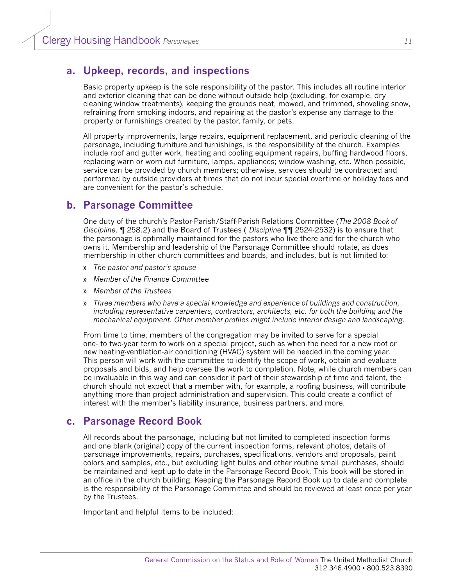### **a. Upkeep, records, and inspections**

Basic property upkeep is the sole responsibility of the pastor. This includes all routine interior and exterior cleaning that can be done without outside help (excluding, for example, dry cleaning window treatments), keeping the grounds neat, mowed, and trimmed, shoveling snow, refraining from smoking indoors, and repairing at the pastor's expense any damage to the property or furnishings created by the pastor, family, or pets.

All property improvements, large repairs, equipment replacement, and periodic cleaning of the parsonage, including furniture and furnishings, is the responsibility of the church. Examples include roof and gutter work, heating and cooling equipment repairs, buffing hardwood floors, replacing warn or worn out furniture, lamps, appliances; window washing, etc. When possible, service can be provided by church members; otherwise, services should be contracted and performed by outside providers at times that do not incur special overtime or holiday fees and are convenient for the pastor's schedule.

### **b. Parsonage Committee**

One duty of the church's Pastor-Parish/Staff-Parish Relations Committee (*The 2008 Book of Discipline,* ¶ 258.2) and the Board of Trustees ( *Discipline* ¶¶ 2524-2532) is to ensure that the parsonage is optimally maintained for the pastors who live there and for the church who owns it. Membership and leadership of the Parsonage Committee should rotate, as does membership in other church committees and boards, and includes, but is not limited to:

- » *The pastor and pastor's spouse*
- » *Member of the Finance Committee*
- » *Member of the Trustees*
- » *Three members who have a special knowledge and experience of buildings and construction, including representative carpenters, contractors, architects, etc. for both the building and the mechanical equipment. Other member profiles might include interior design and landscaping.*

From time to time, members of the congregation may be invited to serve for a special one- to two-year term to work on a special project, such as when the need for a new roof or new heating-ventilation-air conditioning (HVAC) system will be needed in the coming year. This person will work with the committee to identify the scope of work, obtain and evaluate proposals and bids, and help oversee the work to completion. Note, while church members can be invaluable in this way and can consider it part of their stewardship of time and talent, the church should not expect that a member with, for example, a roofing business, will contribute anything more than project administration and supervision. This could create a conflict of interest with the member's liability insurance, business partners, and more.

### **c. Parsonage Record Book**

All records about the parsonage, including but not limited to completed inspection forms and one blank (original) copy of the current inspection forms, relevant photos, details of parsonage improvements, repairs, purchases, specifications, vendors and proposals, paint colors and samples, etc., but excluding light bulbs and other routine small purchases, should be maintained and kept up to date in the Parsonage Record Book. This book will be stored in an office in the church building. Keeping the Parsonage Record Book up to date and complete is the responsibility of the Parsonage Committee and should be reviewed at least once per year by the Trustees.

Important and helpful items to be included: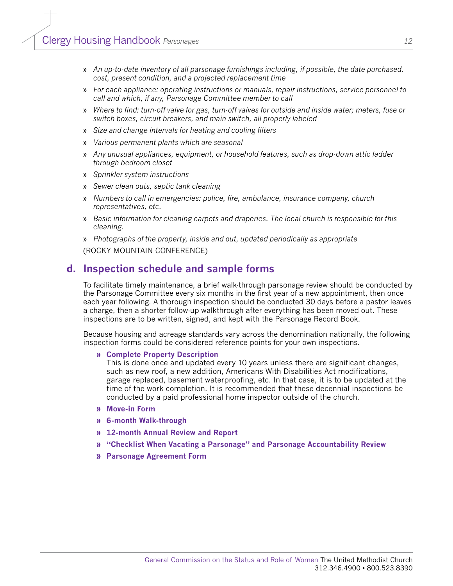- » *An up-to-date inventory of all parsonage furnishings including, if possible, the date purchased, cost, present condition, and a projected replacement time*
- » *For each appliance: operating instructions or manuals, repair instructions, service personnel to call and which, if any, Parsonage Committee member to call*
- » *Where to find: turn-off valve for gas, turn-off valves for outside and inside water; meters, fuse or switch boxes, circuit breakers, and main switch, all properly labeled*
- » *Size and change intervals for heating and cooling filters*
- » *Various permanent plants which are seasonal*
- » *Any unusual appliances, equipment, or household features, such as drop-down attic ladder through bedroom closet*
- » *Sprinkler system instructions*
- » *Sewer clean outs, septic tank cleaning*
- » *Numbers to call in emergencies: police, fire, ambulance, insurance company, church representatives, etc.*
- » *Basic information for cleaning carpets and draperies. The local church is responsible for this cleaning.*
- » *Photographs of the property, inside and out, updated periodically as appropriate*

(ROCKY MOUNTAIN CONFERENCE)

#### **d. Inspection schedule and sample forms**

To facilitate timely maintenance, a brief walk-through parsonage review should be conducted by the Parsonage Committee every six months in the first year of a new appointment, then once each year following. A thorough inspection should be conducted 30 days before a pastor leaves a charge, then a shorter follow-up walkthrough after everything has been moved out. These inspections are to be written, signed, and kept with the Parsonage Record Book.

Because housing and acreage standards vary across the denomination nationally, the following inspection forms could be considered reference points for your own inspections.

#### **» [Complete Property Description](#page-18-0)**

This is done once and updated every 10 years unless there are significant changes, such as new roof, a new addition, Americans With Disabilities Act modifications, garage replaced, basement waterproofing, etc. In that case, it is to be updated at the time of the work completion. It is recommended that these decennial inspections be conducted by a paid professional home inspector outside of the church.

- **» [Move-in Form](#page-43-0)**
- **» [6-month Walk-through](#page-46-0)**
- **» [12-month Annual Review and Report](#page-32-0)**
- **» ["Checklist When Vacating a Parsonage" and Parsonage Accountability Review](#page-34-0)**
- **» [Parsonage Agreement Form](#page-17-0)**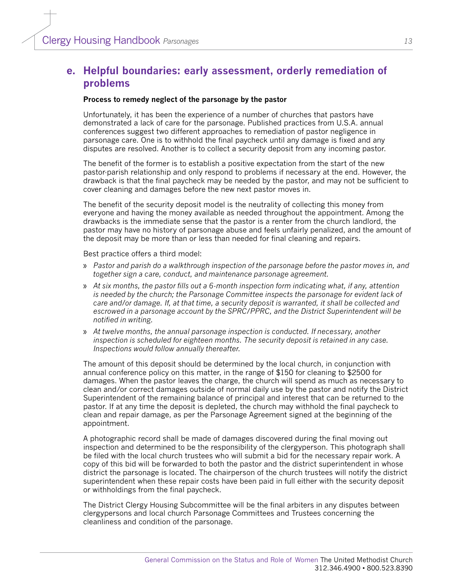### **e. Helpful boundaries: early assessment, orderly remediation of problems**

#### **Process to remedy neglect of the parsonage by the pastor**

Unfortunately, it has been the experience of a number of churches that pastors have demonstrated a lack of care for the parsonage. Published practices from U.S.A. annual conferences suggest two different approaches to remediation of pastor negligence in parsonage care. One is to withhold the final paycheck until any damage is fixed and any disputes are resolved. Another is to collect a security deposit from any incoming pastor.

The benefit of the former is to establish a positive expectation from the start of the new pastor-parish relationship and only respond to problems if necessary at the end. However, the drawback is that the final paycheck may be needed by the pastor, and may not be sufficient to cover cleaning and damages before the new next pastor moves in.

The benefit of the security deposit model is the neutrality of collecting this money from everyone and having the money available as needed throughout the appointment. Among the drawbacks is the immediate sense that the pastor is a renter from the church landlord, the pastor may have no history of parsonage abuse and feels unfairly penalized, and the amount of the deposit may be more than or less than needed for final cleaning and repairs.

Best practice offers a third model:

- » *Pastor and parish do a walkthrough inspection of the parsonage before the pastor moves in, and together sign a care, conduct, and maintenance parsonage agreement.*
- » *At six months, the pastor fills out a 6-month inspection form indicating what, if any, attention is needed by the church; the Parsonage Committee inspects the parsonage for evident lack of care and/or damage. If, at that time, a security deposit is warranted, it shall be collected and escrowed in a parsonage account by the SPRC/PPRC, and the District Superintendent will be notified in writing.*
- » *At twelve months, the annual parsonage inspection is conducted. If necessary, another inspection is scheduled for eighteen months. The security deposit is retained in any case. Inspections would follow annually thereafter.*

The amount of this deposit should be determined by the local church, in conjunction with annual conference policy on this matter, in the range of \$150 for cleaning to \$2500 for damages. When the pastor leaves the charge, the church will spend as much as necessary to clean and/or correct damages outside of normal daily use by the pastor and notify the District Superintendent of the remaining balance of principal and interest that can be returned to the pastor. If at any time the deposit is depleted, the church may withhold the final paycheck to clean and repair damage, as per the Parsonage Agreement signed at the beginning of the appointment.

A photographic record shall be made of damages discovered during the final moving out inspection and determined to be the responsibility of the clergyperson. This photograph shall be filed with the local church trustees who will submit a bid for the necessary repair work. A copy of this bid will be forwarded to both the pastor and the district superintendent in whose district the parsonage is located. The chairperson of the church trustees will notify the district superintendent when these repair costs have been paid in full either with the security deposit or withholdings from the final paycheck.

The District Clergy Housing Subcommittee will be the final arbiters in any disputes between clergypersons and local church Parsonage Committees and Trustees concerning the cleanliness and condition of the parsonage.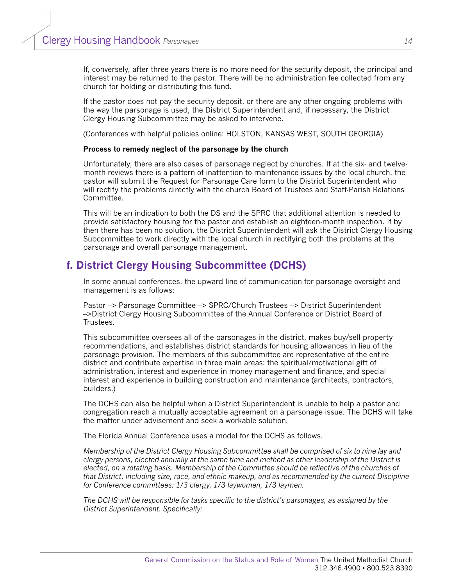If, conversely, after three years there is no more need for the security deposit, the principal and interest may be returned to the pastor. There will be no administration fee collected from any church for holding or distributing this fund.

If the pastor does not pay the security deposit, or there are any other ongoing problems with the way the parsonage is used, the District Superintendent and, if necessary, the District Clergy Housing Subcommittee may be asked to intervene.

(Conferences with helpful policies online: HOLSTON, KANSAS WEST, SOUTH GEORGIA)

#### **Process to remedy neglect of the parsonage by the church**

Unfortunately, there are also cases of parsonage neglect by churches. If at the six- and twelvemonth reviews there is a pattern of inattention to maintenance issues by the local church, the pastor will submit the Request for Parsonage Care form to the District Superintendent who will rectify the problems directly with the church Board of Trustees and Staff-Parish Relations Committee.

This will be an indication to both the DS and the SPRC that additional attention is needed to provide satisfactory housing for the pastor and establish an eighteen-month inspection. If by then there has been no solution, the District Superintendent will ask the District Clergy Housing Subcommittee to work directly with the local church in rectifying both the problems at the parsonage and overall parsonage management.

### **f. District Clergy Housing Subcommittee (DCHS)**

In some annual conferences, the upward line of communication for parsonage oversight and management is as follows:

Pastor –> Parsonage Committee –> SPRC/Church Trustees –> District Superintendent –>District Clergy Housing Subcommittee of the Annual Conference or District Board of Trustees.

This subcommittee oversees all of the parsonages in the district, makes buy/sell property recommendations, and establishes district standards for housing allowances in lieu of the parsonage provision. The members of this subcommittee are representative of the entire district and contribute expertise in three main areas: the spiritual/motivational gift of administration, interest and experience in money management and finance, and special interest and experience in building construction and maintenance (architects, contractors, builders.)

The DCHS can also be helpful when a District Superintendent is unable to help a pastor and congregation reach a mutually acceptable agreement on a parsonage issue. The DCHS will take the matter under advisement and seek a workable solution.

The Florida Annual Conference uses a model for the DCHS as follows.

*Membership of the District Clergy Housing Subcommittee shall be comprised of six to nine lay and clergy persons, elected annually at the same time and method as other leadership of the District is elected, on a rotating basis. Membership of the Committee should be reflective of the churches of that District, including size, race, and ethnic makeup, and as recommended by the current Discipline for Conference committees: 1/3 clergy, 1/3 laywomen, 1/3 laymen.* 

*The DCHS will be responsible for tasks specific to the district's parsonages, as assigned by the District Superintendent. Specifically:*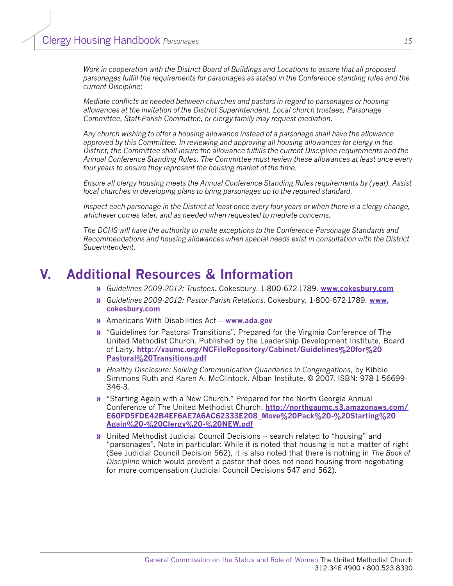*Work in cooperation with the District Board of Buildings and Locations to assure that all proposed parsonages fulfill the requirements for parsonages as stated in the Conference standing rules and the current Discipline;*

*Mediate conflicts as needed between churches and pastors in regard to parsonages or housing allowances at the invitation of the District Superintendent. Local church trustees, Parsonage Committee, Staff-Parish Committee, or clergy family may request mediation.* 

*Any church wishing to offer a housing allowance instead of a parsonage shall have the allowance approved by this Committee. In reviewing and approving all housing allowances for clergy in the District, the Committee shall insure the allowance fulfills the current Discipline requirements and the Annual Conference Standing Rules. The Committee must review these allowances at least once every four years to ensure they represent the housing market of the time.*

*Ensure all clergy housing meets the Annual Conference Standing Rules requirements by (year). Assist local churches in developing plans to bring parsonages up to the required standard.* 

*Inspect each parsonage in the District at least once every four years or when there is a clergy change, whichever comes later, and as needed when requested to mediate concerns.*

*The DCHS will have the authority to make exceptions to the Conference Parsonage Standards and Recommendations and housing allowances when special needs exist in consultation with the District Superintendent.*

### **V. Additional Resources & Information**

- **»** *Guidelines 2009-2012: Trustees*. Cokesbury. 1-800-672-1789. **[www.cokesbury.com](http://www.cokesbury.com)**
- **»** *Guidelines 2009-2012: Pastor-Parish Relations.* Cokesbury. 1-800-672-1789. **[www.](http://www.cokesbury.com) [cokesbury.com](http://www.cokesbury.com)**
- **»** Americans With Disabilities Act -- **[www.ada.gov](file:///C:\Documents and Settings\Garlinda Burton\Local Settings\Temp\www.ada.gov)**
- **»** "Guidelines for Pastoral Transitions". Prepared for the Virginia Conference of The United Methodist Church. Published by the Leadership Development Institute, Board of Laity. **[http://vaumc.org/NCFileRepository/Cabinet/Guidelines%20for%20](http://vaumc.org/NCFileRepository/Cabinet/Guidelines for Pastoral Transitions.pdf) [Pastoral%20Transitions.pdf](http://vaumc.org/NCFileRepository/Cabinet/Guidelines for Pastoral Transitions.pdf)**
- **»** *Healthy Disclosure: Solving Communication Quandaries in Congregations*, by Kibbie Simmons Ruth and Karen A. McClintock. Alban Institute, © 2007. ISBN: 978-1-56699- 346-3.
- **»** "Starting Again with a New Church." Prepared for the North Georgia Annual Conference of The United Methodist Church. **[http://northgaumc.s3.amazonaws.com/](http://northgaumc.s3.amazonaws.com/E60FD5FDE42B4EF6AE7A6AC62333E208_Move Pack - Starting Again - Clergy - NEW.pdf) [E60FD5FDE42B4EF6AE7A6AC62333E208\\_Move%20Pack%20-%20Starting%20](http://northgaumc.s3.amazonaws.com/E60FD5FDE42B4EF6AE7A6AC62333E208_Move Pack - Starting Again - Clergy - NEW.pdf) [Again%20-%20Clergy%20-%20NEW.pdf](http://northgaumc.s3.amazonaws.com/E60FD5FDE42B4EF6AE7A6AC62333E208_Move Pack - Starting Again - Clergy - NEW.pdf)**
- **»** United Methodist Judicial Council Decisions -- search related to "housing" and "parsonages". Note in particular: While it is noted that housing is not a matter of right (See Judicial Council Decision 562), it is also noted that there is nothing in *The Book of Discipline* which would prevent a pastor that does not need housing from negotiating for more compensation (Judicial Council Decisions 547 and 562).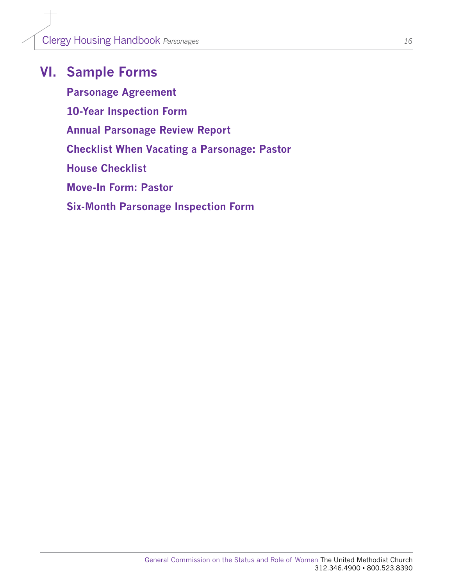## **VI. Sample Forms**

**[Parsonage Agreement](#page-17-0) [10-Year Inspection Form](#page-18-0) [Annual Parsonage Review Report](#page-32-0) [Checklist When Vacating a Parsonage: Pastor](#page-34-0) [House Checklist](#page-36-0) [Move-In Form: Pastor](#page-36-0) [Six-Month Parsonage Inspection Form](#page-46-0)**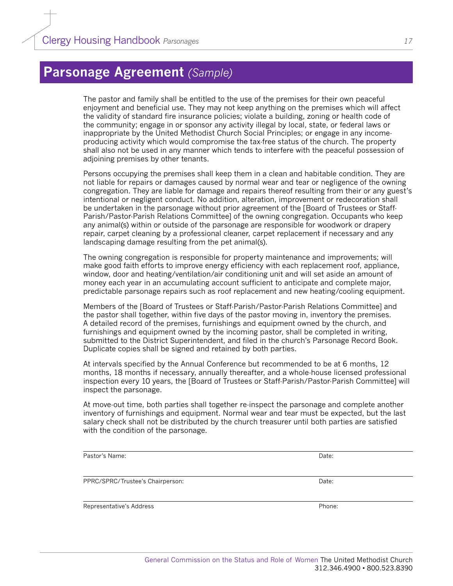## <span id="page-17-0"></span>**Parsonage Agreement** *(Sample)*

The pastor and family shall be entitled to the use of the premises for their own peaceful enjoyment and beneficial use. They may not keep anything on the premises which will affect the validity of standard fire insurance policies; violate a building, zoning or health code of the community; engage in or sponsor any activity illegal by local, state, or federal laws or inappropriate by the United Methodist Church Social Principles; or engage in any incomeproducing activity which would compromise the tax-free status of the church. The property shall also not be used in any manner which tends to interfere with the peaceful possession of adjoining premises by other tenants.

Persons occupying the premises shall keep them in a clean and habitable condition. They are not liable for repairs or damages caused by normal wear and tear or negligence of the owning congregation. They are liable for damage and repairs thereof resulting from their or any guest's intentional or negligent conduct. No addition, alteration, improvement or redecoration shall be undertaken in the parsonage without prior agreement of the [Board of Trustees or Staff-Parish/Pastor-Parish Relations Committee] of the owning congregation. Occupants who keep any animal(s) within or outside of the parsonage are responsible for woodwork or drapery repair, carpet cleaning by a professional cleaner, carpet replacement if necessary and any landscaping damage resulting from the pet animal(s).

The owning congregation is responsible for property maintenance and improvements; will make good faith efforts to improve energy efficiency with each replacement roof, appliance, window, door and heating/ventilation/air conditioning unit and will set aside an amount of money each year in an accumulating account sufficient to anticipate and complete major, predictable parsonage repairs such as roof replacement and new heating/cooling equipment.

Members of the [Board of Trustees or Staff-Parish/Pastor-Parish Relations Committee] and the pastor shall together, within five days of the pastor moving in, inventory the premises. A detailed record of the premises, furnishings and equipment owned by the church, and furnishings and equipment owned by the incoming pastor, shall be completed in writing, submitted to the District Superintendent, and filed in the church's Parsonage Record Book. Duplicate copies shall be signed and retained by both parties.

At intervals specified by the Annual Conference but recommended to be at 6 months, 12 months, 18 months if necessary, annually thereafter, and a whole-house licensed professional inspection every 10 years, the [Board of Trustees or Staff-Parish/Pastor-Parish Committee] will inspect the parsonage.

At move-out time, both parties shall together re-inspect the parsonage and complete another inventory of furnishings and equipment. Normal wear and tear must be expected, but the last salary check shall not be distributed by the church treasurer until both parties are satisfied with the condition of the parsonage.

| Pastor's Name:                   | Date:  |
|----------------------------------|--------|
|                                  |        |
| PPRC/SPRC/Trustee's Chairperson: | Date:  |
|                                  |        |
| Representative's Address         | Phone: |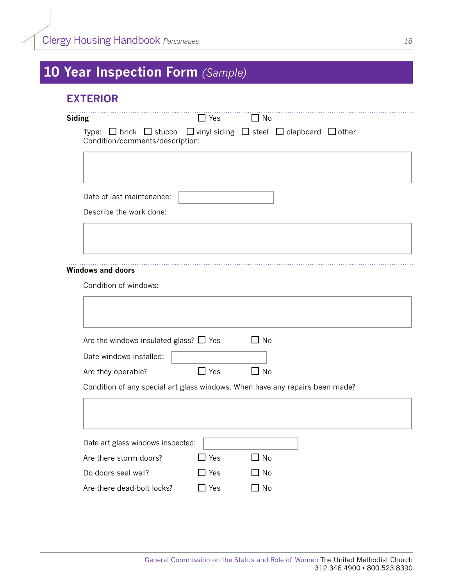# <span id="page-18-0"></span>**10 Year Inspection Form** *(Sample)*

### **EXTERIOR**

| <b>Siding</b>                                                                                                                      | $\Box$ Yes | $\Box$ No |  |
|------------------------------------------------------------------------------------------------------------------------------------|------------|-----------|--|
| Type: $\Box$ brick $\Box$ stucco $\Box$ vinyl siding $\Box$ steel $\Box$ clapboard $\Box$ other<br>Condition/comments/description: |            |           |  |
|                                                                                                                                    |            |           |  |
| Date of last maintenance:                                                                                                          |            |           |  |
| Describe the work done:                                                                                                            |            |           |  |
|                                                                                                                                    |            |           |  |
| <b>Windows and doors</b>                                                                                                           |            |           |  |
|                                                                                                                                    |            |           |  |
| Condition of windows:                                                                                                              |            |           |  |
|                                                                                                                                    |            |           |  |
| Are the windows insulated glass? $\Box$ Yes                                                                                        |            | $\Box$ No |  |
| Date windows installed:                                                                                                            |            |           |  |
| Are they operable?<br>Condition of any special art glass windows. When have any repairs been made?                                 | $\Box$ Yes | $\Box$ No |  |
|                                                                                                                                    |            |           |  |
|                                                                                                                                    |            |           |  |
| Date art glass windows inspected:                                                                                                  |            |           |  |
| Are there storm doors?                                                                                                             | $\Box$ Yes | $\Box$ No |  |
| Do doors seal well?                                                                                                                | $\Box$ Yes | $\Box$ No |  |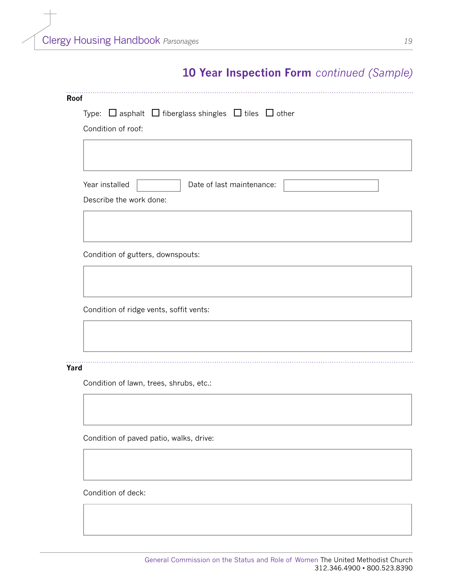|      | Type: $\Box$ asphalt $\Box$ fiberglass shingles $\Box$ tiles $\Box$ other |
|------|---------------------------------------------------------------------------|
|      | Condition of roof:                                                        |
|      |                                                                           |
|      |                                                                           |
|      | Year installed<br>Date of last maintenance:                               |
|      | Describe the work done:                                                   |
|      |                                                                           |
|      |                                                                           |
|      | Condition of gutters, downspouts:                                         |
|      |                                                                           |
|      |                                                                           |
|      |                                                                           |
|      |                                                                           |
|      | Condition of ridge vents, soffit vents:                                   |
|      |                                                                           |
|      |                                                                           |
|      |                                                                           |
| Yard |                                                                           |
|      | Condition of lawn, trees, shrubs, etc.:                                   |
|      |                                                                           |
|      |                                                                           |
|      | Condition of paved patio, walks, drive:                                   |
|      |                                                                           |
|      |                                                                           |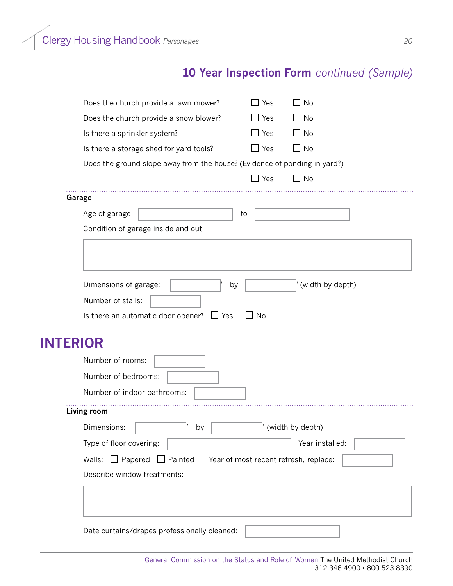| Does the church provide a lawn mower?                                     | $\Box$ Yes | $\Box$ No                             |
|---------------------------------------------------------------------------|------------|---------------------------------------|
| Does the church provide a snow blower?                                    | $\Box$ Yes | $\Box$ No                             |
| Is there a sprinkler system?                                              | $\Box$ Yes | $\Box$ No                             |
| Is there a storage shed for yard tools?                                   | $\Box$ Yes | $\Box$ No                             |
| Does the ground slope away from the house? (Evidence of ponding in yard?) |            |                                       |
|                                                                           | $\Box$ Yes | $\Box$ No                             |
| Garage                                                                    |            |                                       |
| Age of garage                                                             | to         |                                       |
| Condition of garage inside and out:                                       |            |                                       |
|                                                                           |            |                                       |
|                                                                           |            |                                       |
| Dimensions of garage:                                                     | by         | (width by depth)                      |
| Number of stalls:                                                         |            |                                       |
| Is there an automatic door opener? $\Box$ Yes                             | No L       |                                       |
|                                                                           |            |                                       |
| <b>INTERIOR</b>                                                           |            |                                       |
| Number of rooms:                                                          |            |                                       |
| Number of bedrooms:                                                       |            |                                       |
| Number of indoor bathrooms:                                               |            |                                       |
| <b>Living room</b>                                                        |            |                                       |
| Dimensions:<br>by                                                         |            | (width by depth)                      |
| Type of floor covering:                                                   |            | Year installed:                       |
| Walls: $\Box$ Papered $\Box$ Painted                                      |            | Year of most recent refresh, replace: |
| Describe window treatments:                                               |            |                                       |
|                                                                           |            |                                       |
|                                                                           |            |                                       |
|                                                                           |            |                                       |
| Date curtains/drapes professionally cleaned:                              |            |                                       |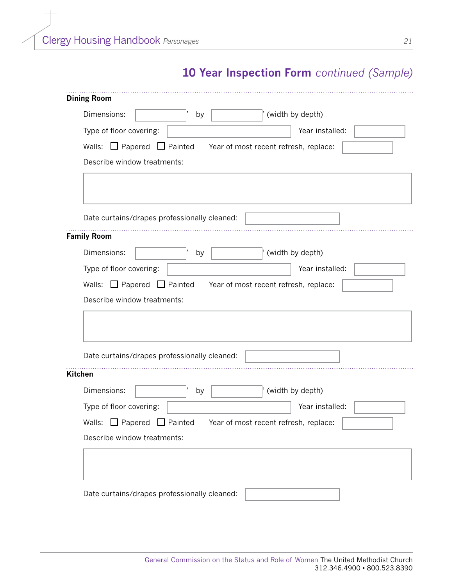| Dimensions:                                  | by |                                       | (width by depth) |  |
|----------------------------------------------|----|---------------------------------------|------------------|--|
| Type of floor covering:                      |    |                                       | Year installed:  |  |
|                                              |    |                                       |                  |  |
| $\Box$ Papered $\Box$ Painted<br>Walls:      |    | Year of most recent refresh, replace: |                  |  |
| Describe window treatments:                  |    |                                       |                  |  |
|                                              |    |                                       |                  |  |
|                                              |    |                                       |                  |  |
| Date curtains/drapes professionally cleaned: |    |                                       |                  |  |
| <b>Family Room</b>                           |    |                                       |                  |  |
| Dimensions:                                  | by | (width by depth)                      |                  |  |
| Type of floor covering:                      |    |                                       | Year installed:  |  |
| Walls: $\Box$ Papered $\Box$ Painted         |    | Year of most recent refresh, replace: |                  |  |
| Describe window treatments:                  |    |                                       |                  |  |
|                                              |    |                                       |                  |  |
|                                              |    |                                       |                  |  |
|                                              |    |                                       |                  |  |
|                                              |    |                                       |                  |  |
|                                              |    |                                       |                  |  |
| Date curtains/drapes professionally cleaned: |    |                                       |                  |  |
| <b>Kitchen</b>                               |    |                                       |                  |  |
| Dimensions:                                  | by |                                       | (width by depth) |  |
| Type of floor covering:                      |    |                                       | Year installed:  |  |
| $\Box$ Papered $\Box$ Painted<br>Walls:      |    | Year of most recent refresh, replace: |                  |  |
|                                              |    |                                       |                  |  |
| Describe window treatments:                  |    |                                       |                  |  |
|                                              |    |                                       |                  |  |

General Commission on the Status and Role of Women The United Methodist Church 312.346.4900 • 800.523.8390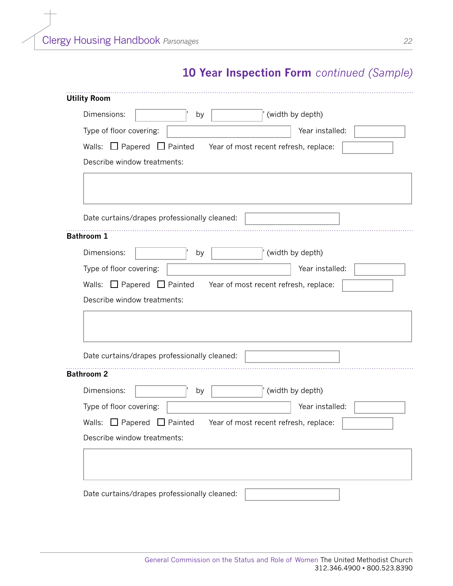| Dimensions:                                  | by |                                       | (width by depth) |  |
|----------------------------------------------|----|---------------------------------------|------------------|--|
| Type of floor covering:                      |    |                                       | Year installed:  |  |
| Walls: $\Box$ Papered $\Box$ Painted         |    | Year of most recent refresh, replace: |                  |  |
| Describe window treatments:                  |    |                                       |                  |  |
|                                              |    |                                       |                  |  |
|                                              |    |                                       |                  |  |
|                                              |    |                                       |                  |  |
| Date curtains/drapes professionally cleaned: |    |                                       |                  |  |
| <b>Bathroom 1</b>                            |    |                                       |                  |  |
| Dimensions:                                  | by |                                       | (width by depth) |  |
| Type of floor covering:                      |    |                                       | Year installed:  |  |
|                                              |    |                                       |                  |  |
|                                              |    |                                       |                  |  |
| Walls: $\Box$ Papered $\Box$ Painted         |    | Year of most recent refresh, replace: |                  |  |
| Describe window treatments:                  |    |                                       |                  |  |
|                                              |    |                                       |                  |  |
|                                              |    |                                       |                  |  |
|                                              |    |                                       |                  |  |
| Date curtains/drapes professionally cleaned: |    |                                       |                  |  |
| <b>Bathroom 2</b>                            |    |                                       |                  |  |
| Dimensions:                                  | by |                                       | (width by depth) |  |
| Type of floor covering:                      |    |                                       | Year installed:  |  |
| $\Box$ Papered $\Box$ Painted<br>Walls:      |    | Year of most recent refresh, replace: |                  |  |
|                                              |    |                                       |                  |  |
| Describe window treatments:                  |    |                                       |                  |  |
|                                              |    |                                       |                  |  |
|                                              |    |                                       |                  |  |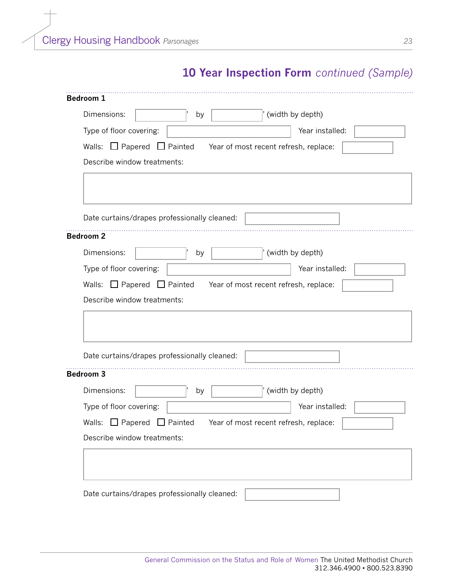| Dimensions:                                  | by |                                       | (width by depth) |  |
|----------------------------------------------|----|---------------------------------------|------------------|--|
| Type of floor covering:                      |    |                                       | Year installed:  |  |
| Walls: $\Box$ Papered $\Box$ Painted         |    | Year of most recent refresh, replace: |                  |  |
| Describe window treatments:                  |    |                                       |                  |  |
|                                              |    |                                       |                  |  |
|                                              |    |                                       |                  |  |
|                                              |    |                                       |                  |  |
| Date curtains/drapes professionally cleaned: |    |                                       |                  |  |
| <b>Bedroom 2</b>                             |    |                                       |                  |  |
| Dimensions:                                  | by |                                       | (width by depth) |  |
| Type of floor covering:                      |    |                                       |                  |  |
|                                              |    |                                       | Year installed:  |  |
|                                              |    |                                       |                  |  |
| Walls: $\Box$ Papered $\Box$ Painted         |    | Year of most recent refresh, replace: |                  |  |
| Describe window treatments:                  |    |                                       |                  |  |
|                                              |    |                                       |                  |  |
|                                              |    |                                       |                  |  |
|                                              |    |                                       |                  |  |
| Date curtains/drapes professionally cleaned: |    |                                       |                  |  |
| <b>Bedroom 3</b>                             |    |                                       |                  |  |
| Dimensions:                                  | by |                                       | (width by depth) |  |
| Type of floor covering:                      |    |                                       | Year installed:  |  |
| Walls:                                       |    |                                       |                  |  |
| $\Box$ Papered $\Box$ Painted                |    | Year of most recent refresh, replace: |                  |  |
| Describe window treatments:                  |    |                                       |                  |  |
|                                              |    |                                       |                  |  |
|                                              |    |                                       |                  |  |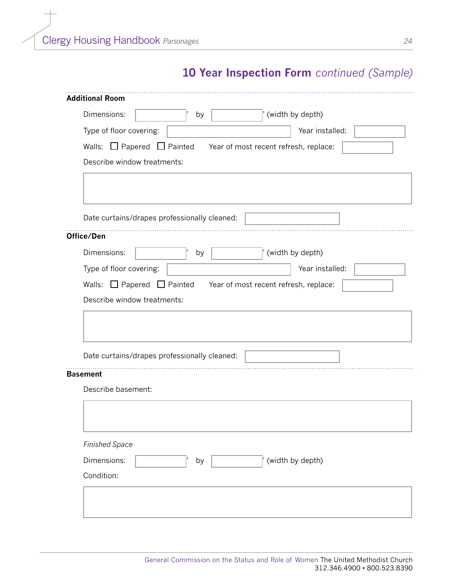| Dimensions:                                  | by | (width by depth)                                     |  |
|----------------------------------------------|----|------------------------------------------------------|--|
| Type of floor covering:                      |    | Year installed:                                      |  |
| Walls: $\Box$ Papered                        |    | $\Box$ Painted Year of most recent refresh, replace: |  |
| Describe window treatments:                  |    |                                                      |  |
|                                              |    |                                                      |  |
|                                              |    |                                                      |  |
|                                              |    |                                                      |  |
| Date curtains/drapes professionally cleaned: |    |                                                      |  |
| Office/Den                                   |    |                                                      |  |
| Dimensions:                                  | by | (width by depth)                                     |  |
| Type of floor covering:                      |    | Year installed:                                      |  |
| Walls: $\Box$ Papered $\Box$ Painted         |    | Year of most recent refresh, replace:                |  |
|                                              |    |                                                      |  |
| Describe window treatments:                  |    |                                                      |  |
| Date curtains/drapes professionally cleaned: |    |                                                      |  |
| <b>Basement</b>                              |    |                                                      |  |
| Describe basement:                           |    |                                                      |  |
|                                              |    |                                                      |  |
|                                              |    |                                                      |  |
| <b>Finished Space</b>                        |    |                                                      |  |
| Dimensions:                                  | by | (width by depth)                                     |  |
| Condition:                                   |    |                                                      |  |
|                                              |    |                                                      |  |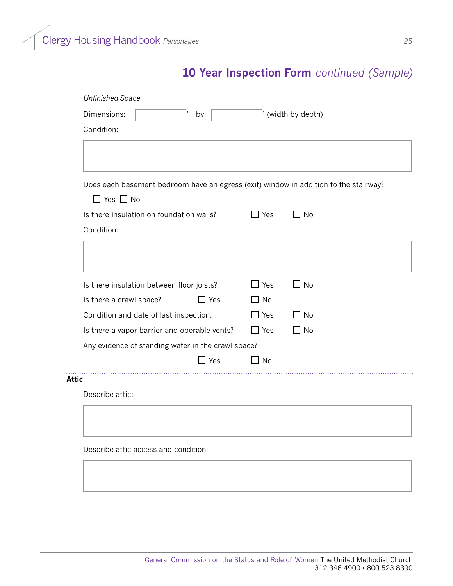| Dimensions:<br>by                                                                    |            | (width by depth) |
|--------------------------------------------------------------------------------------|------------|------------------|
| Condition:                                                                           |            |                  |
|                                                                                      |            |                  |
|                                                                                      |            |                  |
| Does each basement bedroom have an egress (exit) window in addition to the stairway? |            |                  |
| $\Box$ Yes $\Box$ No                                                                 |            |                  |
| Is there insulation on foundation walls?                                             | $\Box$ Yes | $\Box$ No        |
| Condition:                                                                           |            |                  |
|                                                                                      |            |                  |
|                                                                                      |            |                  |
| Is there insulation between floor joists?                                            | $\Box$ Yes | $\Box$ No        |
| $\Box$ Yes<br>Is there a crawl space?                                                | $\Box$ No  |                  |
| Condition and date of last inspection.                                               | $\Box$ Yes | $\Box$ No        |
| Is there a vapor barrier and operable vents?                                         | $\Box$ Yes | $\Box$ No        |
| Any evidence of standing water in the crawl space?                                   |            |                  |
| $\Box$ Yes                                                                           | $\Box$ No  |                  |
| <b>Attic</b>                                                                         |            |                  |
| Describe attic:                                                                      |            |                  |
|                                                                                      |            |                  |
|                                                                                      |            |                  |
|                                                                                      |            |                  |
| Describe attic access and condition:                                                 |            |                  |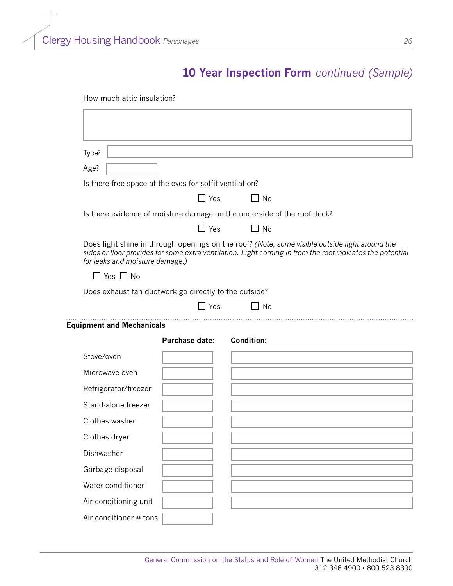| Type?                                                   |                       |                                                                                                                                                                                                             |
|---------------------------------------------------------|-----------------------|-------------------------------------------------------------------------------------------------------------------------------------------------------------------------------------------------------------|
| Age?                                                    |                       |                                                                                                                                                                                                             |
| Is there free space at the eves for soffit ventilation? |                       |                                                                                                                                                                                                             |
|                                                         | $\Box$ Yes            | $\Box$ No                                                                                                                                                                                                   |
|                                                         |                       | Is there evidence of moisture damage on the underside of the roof deck?                                                                                                                                     |
|                                                         | $\Box$ Yes            | $\Box$ No                                                                                                                                                                                                   |
| for leaks and moisture damage.)                         |                       | Does light shine in through openings on the roof? (Note, some visible outside light around the<br>sides or floor provides for some extra ventilation. Light coming in from the roof indicates the potential |
| $\Box$ Yes $\Box$ No                                    |                       |                                                                                                                                                                                                             |
| Does exhaust fan ductwork go directly to the outside?   |                       |                                                                                                                                                                                                             |
|                                                         | $\Box$ Yes            | $\Box$ No                                                                                                                                                                                                   |
| <b>Equipment and Mechanicals</b>                        |                       |                                                                                                                                                                                                             |
|                                                         | <b>Purchase date:</b> | <b>Condition:</b>                                                                                                                                                                                           |
| Stove/oven                                              |                       |                                                                                                                                                                                                             |
| Microwave oven                                          |                       |                                                                                                                                                                                                             |
| Refrigerator/freezer                                    |                       |                                                                                                                                                                                                             |
| Stand-alone freezer                                     |                       |                                                                                                                                                                                                             |
| Clothes washer                                          |                       |                                                                                                                                                                                                             |
| Clothes dryer                                           |                       |                                                                                                                                                                                                             |
| Dishwasher                                              |                       |                                                                                                                                                                                                             |
| Garbage disposal                                        |                       |                                                                                                                                                                                                             |
| Water conditioner                                       |                       |                                                                                                                                                                                                             |
| Air conditioning unit                                   |                       |                                                                                                                                                                                                             |
| Air conditioner # tons                                  |                       |                                                                                                                                                                                                             |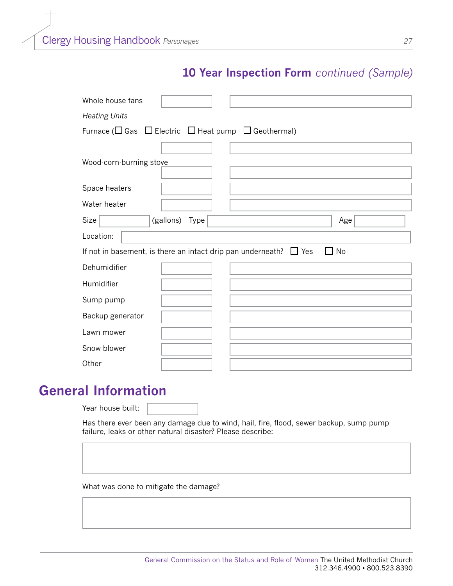| Whole house fans                                                             |
|------------------------------------------------------------------------------|
| <b>Heating Units</b>                                                         |
| Furnace ( $\Box$ Gas $\Box$ Electric $\Box$ Heat pump $\Box$ Geothermal)     |
|                                                                              |
| Wood-corn-burning stove                                                      |
| Space heaters                                                                |
| Water heater                                                                 |
| Size<br>(gallons)<br>Type<br>Age                                             |
| Location:                                                                    |
| No<br>If not in basement, is there an intact drip pan underneath? $\Box$ Yes |
| Dehumidifier                                                                 |
| Humidifier                                                                   |
| Sump pump                                                                    |
| Backup generator                                                             |
| Lawn mower                                                                   |
| Snow blower                                                                  |
|                                                                              |

### **General Information**

Year house built:

Has there ever been any damage due to wind, hail, fire, flood, sewer backup, sump pump failure, leaks or other natural disaster? Please describe:

What was done to mitigate the damage?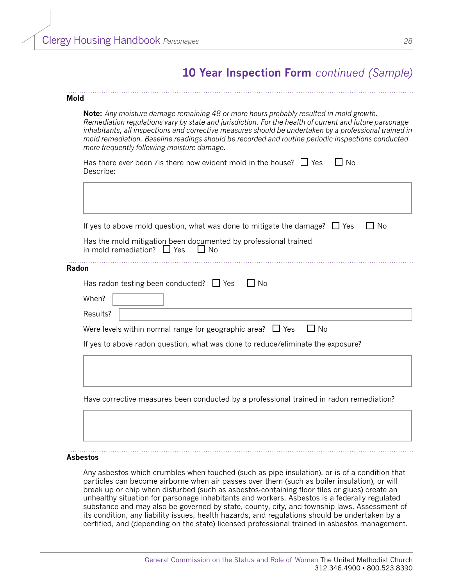#### **Mold**

**Note:** *Any moisture damage remaining 48 or more hours probably resulted in mold growth. Remediation regulations vary by state and jurisdiction. For the health of current and future parsonage inhabitants, all inspections and corrective measures should be undertaken by a professional trained in mold remediation. Baseline readings should be recorded and routine periodic inspections conducted more frequently following moisture damage.*

| Has there ever been / is there now evident mold in the house? $\Box$ Yes | $\Box$ No |  |
|--------------------------------------------------------------------------|-----------|--|
| Describe:                                                                |           |  |
|                                                                          |           |  |

|          | If yes to above mold question, what was done to mitigate the damage? $\Box$ Yes                              | N <sub>0</sub> |
|----------|--------------------------------------------------------------------------------------------------------------|----------------|
|          |                                                                                                              |                |
|          | Has the mold mitigation been documented by professional trained<br>in mold remediation? $\Box$ Yes<br>l I No |                |
| Radon    |                                                                                                              |                |
|          | Has radon testing been conducted? $\Box$ Yes<br>No.                                                          |                |
| When?    |                                                                                                              |                |
| Results? |                                                                                                              |                |
|          | $\Box$ No<br>Were levels within normal range for geographic area? $\Box$ Yes                                 |                |
|          | If yes to above radon question, what was done to reduce/eliminate the exposure?                              |                |
|          |                                                                                                              |                |
|          |                                                                                                              |                |
|          |                                                                                                              |                |

#### **Asbestos**

Any asbestos which crumbles when touched (such as pipe insulation), or is of a condition that particles can become airborne when air passes over them (such as boiler insulation), or will break up or chip when disturbed (such as asbestos-containing floor tiles or glues) create an unhealthy situation for parsonage inhabitants and workers. Asbestos is a federally regulated substance and may also be governed by state, county, city, and township laws. Assessment of its condition, any liability issues, health hazards, and regulations should be undertaken by a certified, and (depending on the state) licensed professional trained in asbestos management.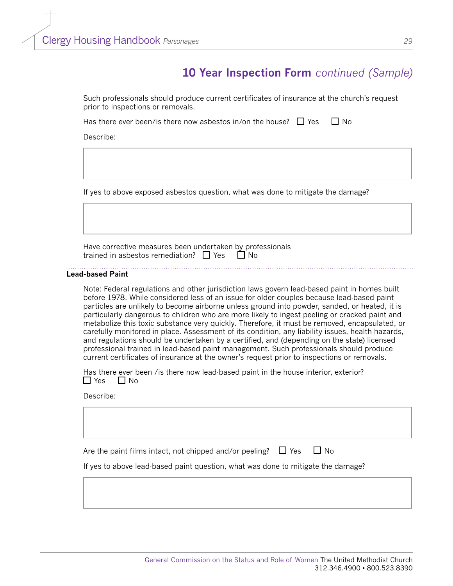Such professionals should produce current certificates of insurance at the church's request prior to inspections or removals.

Has there ever been/is there now asbestos in/on the house?  $\Box$  Yes  $\Box$  No

Describe:

If yes to above exposed asbestos question, what was done to mitigate the damage?

Have corrective measures been undertaken by professionals trained in asbestos remediation?  $\Box$  Yes  $\Box$  No

#### **Lead-based Paint**

Note: Federal regulations and other jurisdiction laws govern lead-based paint in homes built before 1978. While considered less of an issue for older couples because lead-based paint particles are unlikely to become airborne unless ground into powder, sanded, or heated, it is particularly dangerous to children who are more likely to ingest peeling or cracked paint and metabolize this toxic substance very quickly. Therefore, it must be removed, encapsulated, or carefully monitored in place. Assessment of its condition, any liability issues, health hazards, and regulations should be undertaken by a certified, and (depending on the state) licensed professional trained in lead-based paint management. Such professionals should produce current certificates of insurance at the owner's request prior to inspections or removals.

Has there ever been /is there now lead-based paint in the house interior, exterior?  $\Box$  Yes  $\Box$  No

#### Describe:

Are the paint films intact, not chipped and/or peeling?  $\Box$  Yes  $\Box$  No

If yes to above lead-based paint question, what was done to mitigate the damage?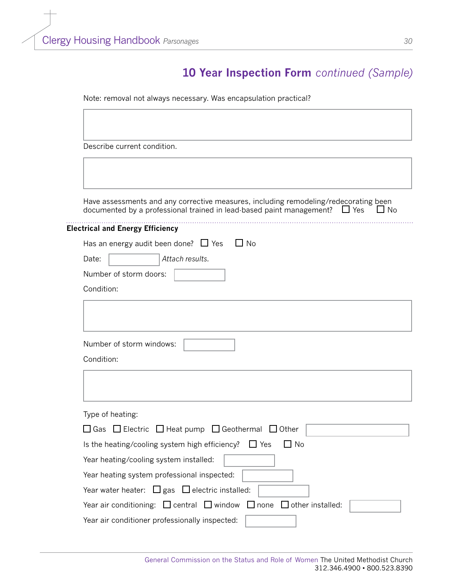Note: removal not always necessary. Was encapsulation practical?

Describe current condition.

Have assessments and any corrective measures, including remodeling/redecorating been documented by a professional trained in lead-based paint management?  $\Box$  Yes  $\Box$  No documented by a professional trained in lead-based paint management?  $\Box$  Yes

#### **Electrical and Energy Efficiency**

| Has an energy audit been done? $\Box$ Yes $\Box$ No |                 |  |  |  |
|-----------------------------------------------------|-----------------|--|--|--|
| Date:                                               | Attach results. |  |  |  |
| Number of storm doors:                              |                 |  |  |  |
| Condition:                                          |                 |  |  |  |

| Number of storm windows:                                                                |
|-----------------------------------------------------------------------------------------|
| Condition:                                                                              |
|                                                                                         |
|                                                                                         |
| Type of heating:                                                                        |
| $\Box$ Gas $\Box$ Electric $\Box$ Heat pump $\Box$ Geothermal $\Box$ Other              |
| $\Box$ No<br>Is the heating/cooling system high efficiency? $\Box$ Yes                  |
| Year heating/cooling system installed:                                                  |
| Year heating system professional inspected:                                             |
| Year water heater: $\Box$ gas $\Box$ electric installed:                                |
| Year air conditioning: $\Box$ central $\Box$ window $\Box$ none $\Box$ other installed: |

Year air conditioner professionally inspected: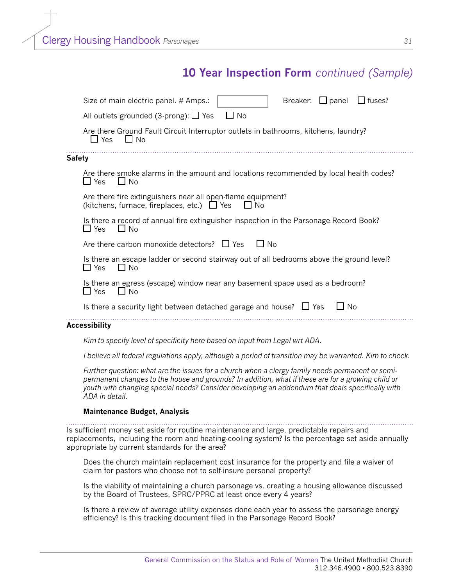|        | $\Box$ fuses?<br>Breaker: $\Box$ panel<br>Size of main electric panel. # Amps.:                                                                                                                       |
|--------|-------------------------------------------------------------------------------------------------------------------------------------------------------------------------------------------------------|
|        | $\Box$ No<br>All outlets grounded (3-prong): $\Box$ Yes                                                                                                                                               |
|        | Are there Ground Fault Circuit Interruptor outlets in bathrooms, kitchens, laundry?<br>$\Box$ Yes<br>$\Box$ No                                                                                        |
| Safety |                                                                                                                                                                                                       |
|        | Are there smoke alarms in the amount and locations recommended by local health codes?<br>$\Box$ Yes<br>$\Box$ No                                                                                      |
|        | Are there fire extinguishers near all open-flame equipment?<br>(kitchens, furnace, fireplaces, etc.) $\Box$ Yes<br>$\Box$ No                                                                          |
|        | Is there a record of annual fire extinguisher inspection in the Parsonage Record Book?<br>$\Box$ Yes<br>∐ No                                                                                          |
|        | Are there carbon monoxide detectors? $\Box$ Yes<br>1 N <sub>0</sub>                                                                                                                                   |
|        | Is there an escape ladder or second stairway out of all bedrooms above the ground level?<br>$\Box$ Yes<br>$\Box$ No                                                                                   |
|        | Is there an egress (escape) window near any basement space used as a bedroom?<br>$\Box$ Yes<br>$\Box$ No                                                                                              |
|        | Is there a security light between detached garage and house? $\Box$ Yes<br>l I No                                                                                                                     |
|        | Accessibility                                                                                                                                                                                         |
|        | Kim to specify level of specificity here based on input from Legal wrt ADA.                                                                                                                           |
|        | I believe all federal regulations apply, although a period of transition may be warranted. Kim to check.                                                                                              |
|        | Further question: what are the issues for a church when a clergy family needs permanent or semi-<br>nermanent changes to the house and grounds? In addition, what if these are for a growing child or |

*permanent changes to the house and grounds? In addition, what if these are for a growing child or youth with changing special needs? Consider developing an addendum that deals specifically with ADA in detail.*

#### **Maintenance Budget, Analysis**

Is sufficient money set aside for routine maintenance and large, predictable repairs and replacements, including the room and heating-cooling system? Is the percentage set aside annually appropriate by current standards for the area?

Does the church maintain replacement cost insurance for the property and file a waiver of claim for pastors who choose not to self-insure personal property?

Is the viability of maintaining a church parsonage vs. creating a housing allowance discussed by the Board of Trustees, SPRC/PPRC at least once every 4 years?

Is there a review of average utility expenses done each year to assess the parsonage energy efficiency? Is this tracking document filed in the Parsonage Record Book?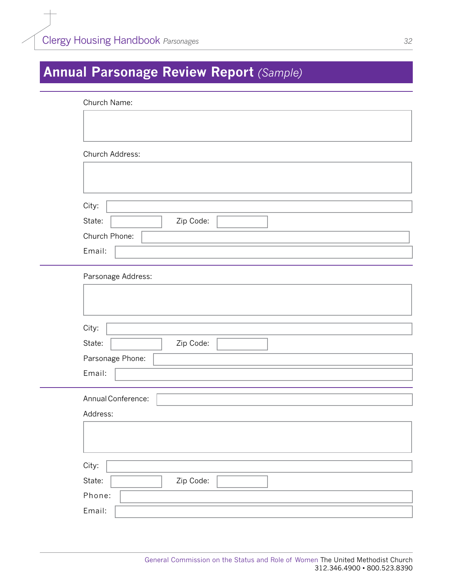# <span id="page-32-0"></span>**Annual Parsonage Review Report** *(Sample)*

| Church Name:        |
|---------------------|
|                     |
|                     |
| Church Address:     |
|                     |
|                     |
|                     |
| City:               |
| State:<br>Zip Code: |
| Church Phone:       |
| Email:              |
| Parsonage Address:  |
|                     |
|                     |
|                     |
| City:               |
| State:<br>Zip Code: |
| Parsonage Phone:    |
| Email:              |
|                     |
| Annual Conference:  |
| Address:            |
|                     |
|                     |
| City:               |
| State:<br>Zip Code: |
|                     |
| Phone:              |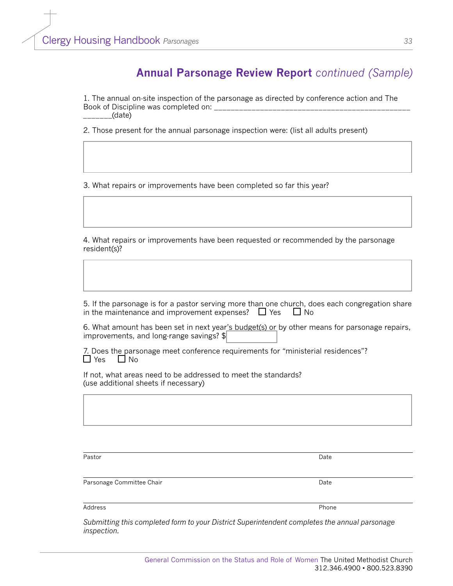### **Annual Parsonage Review Report** *continued (Sample)*

1. The annual on-site inspection of the parsonage as directed by conference action and The Book of Discipline was completed on: \_\_\_\_\_\_\_(date)

2. Those present for the annual parsonage inspection were: (list all adults present)

3. What repairs or improvements have been completed so far this year?

4. What repairs or improvements have been requested or recommended by the parsonage resident(s)?

5. If the parsonage is for a pastor serving more than one church, does each congregation share in the maintenance and improvement expenses?  $\Box$  Yes  $\Box$  No

6. What amount has been set in next year's budget(s) or by other means for parsonage repairs, improvements, and long-range savings? \$

7. Does the parsonage meet conference requirements for "ministerial residences"?  $\Box$  Yes  $\Box$  No

If not, what areas need to be addressed to meet the standards? (use additional sheets if necessary)

Pastor Date

Parsonage Committee Chair Date Chair Date of the United States of the Date Date Date Date Date

Address Phone

*Submitting this completed form to your District Superintendent completes the annual parsonage inspection.*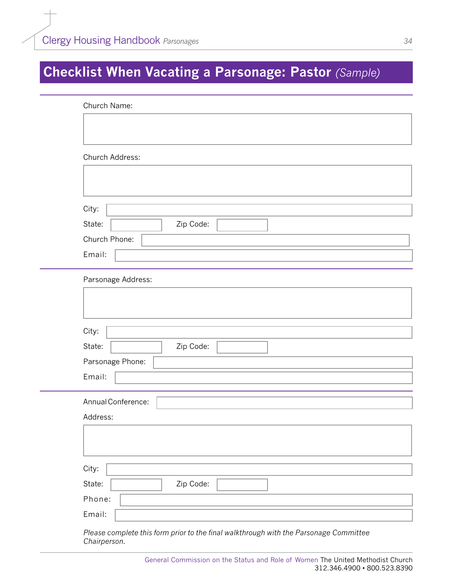# <span id="page-34-0"></span>**Checklist When Vacating a Parsonage: Pastor** *(Sample)*

|                                       | Church Address:    |
|---------------------------------------|--------------------|
|                                       |                    |
|                                       |                    |
| City:                                 |                    |
| State:                                | Zip Code:          |
|                                       | Church Phone:      |
| Email:                                |                    |
|                                       |                    |
|                                       | Parsonage Address: |
|                                       |                    |
|                                       |                    |
|                                       |                    |
|                                       |                    |
|                                       | Zip Code:          |
|                                       | Parsonage Phone:   |
|                                       |                    |
|                                       | Annual Conference: |
| City:<br>State:<br>Email:<br>Address: |                    |
|                                       |                    |
|                                       |                    |
|                                       |                    |
| City:<br>State:                       | Zip Code:          |

*Chairperson.*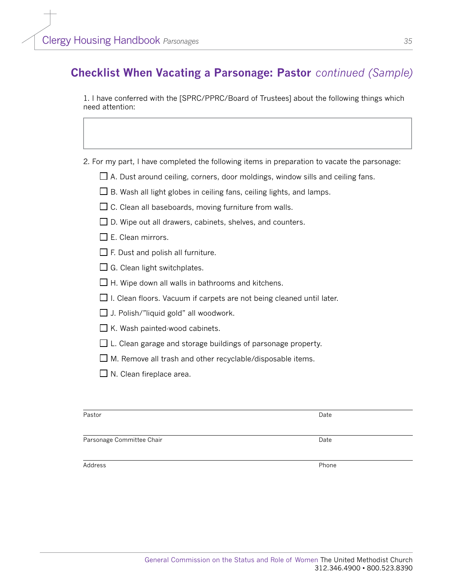### **Checklist When Vacating a Parsonage: Pastor** *continued (Sample)*

1. I have conferred with the [SPRC/PPRC/Board of Trustees] about the following things which need attention:

- 2. For my part, I have completed the following items in preparation to vacate the parsonage:
	- $\Box$  A. Dust around ceiling, corners, door moldings, window sills and ceiling fans.
	- $\square$  B. Wash all light globes in ceiling fans, ceiling lights, and lamps.
	- $\Box$  C. Clean all baseboards, moving furniture from walls.
	- $\Box$  D. Wipe out all drawers, cabinets, shelves, and counters.
	- $\Box$  E. Clean mirrors.
	- $\Box$  F. Dust and polish all furniture.
	- $\Box$  G. Clean light switchplates.
	- $\Box$  H. Wipe down all walls in bathrooms and kitchens.
	- $\Box$  I. Clean floors. Vacuum if carpets are not being cleaned until later.
	- $\Box$  J. Polish/"liquid gold" all woodwork.
	- $\Box$  K. Wash painted-wood cabinets.
	- $\Box$  L. Clean garage and storage buildings of parsonage property.
	- $\Box$  M. Remove all trash and other recyclable/disposable items.
	- $\Box$  N. Clean fireplace area.

| Pastor                    | Date  |
|---------------------------|-------|
| Parsonage Committee Chair | Date  |
| Address                   | Phone |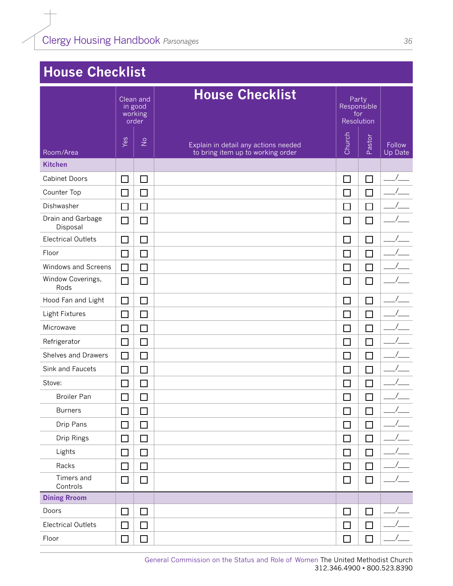# <span id="page-36-0"></span>**House Checklist**

|                               | Clean and<br>in good<br>working<br>order |                            | <b>House Checklist</b>                                                    | Party<br>Responsible<br>for<br>Resolution |        |                          |
|-------------------------------|------------------------------------------|----------------------------|---------------------------------------------------------------------------|-------------------------------------------|--------|--------------------------|
| Room/Area                     | Yes                                      | $\frac{\circ}{\mathsf{Z}}$ | Explain in detail any actions needed<br>to bring item up to working order | Church                                    | Pastor | <b>Follow</b><br>Up Date |
| <b>Kitchen</b>                |                                          |                            |                                                                           |                                           |        |                          |
| <b>Cabinet Doors</b>          | $\mathcal{L}$                            | $\Box$                     |                                                                           | $\Box$                                    | $\Box$ |                          |
| Counter Top                   | $\Box$                                   | $\Box$                     |                                                                           | $\Box$                                    | $\Box$ |                          |
| Dishwasher                    | $\Box$                                   | $\Box$                     |                                                                           | $\Box$                                    | $\Box$ |                          |
| Drain and Garbage<br>Disposal | $\Box$                                   | $\Box$                     |                                                                           | $\Box$                                    | $\Box$ |                          |
| <b>Electrical Outlets</b>     | ┓                                        | $\Box$                     |                                                                           | П                                         | $\Box$ |                          |
| Floor                         | $\perp$                                  | $\Box$                     |                                                                           | $\Box$                                    | $\Box$ |                          |
| <b>Windows and Screens</b>    | □                                        | $\Box$                     |                                                                           | $\Box$                                    | $\Box$ |                          |
| Window Coverings,<br>Rods     | $\Box$                                   | $\Box$                     |                                                                           | $\Box$                                    | $\Box$ |                          |
| Hood Fan and Light            | $\mathcal{L}$                            | П                          |                                                                           | $\Box$                                    | П      |                          |
| Light Fixtures                | $\sim$                                   | $\Box$                     |                                                                           | $\mathcal{L}_{\mathcal{A}}$               |        |                          |
| Microwave                     | $\Box$                                   | $\Box$                     |                                                                           | $\Box$                                    | $\Box$ |                          |
| Refrigerator                  | $\Box$                                   | $\Box$                     |                                                                           | $\Box$                                    | $\Box$ |                          |
| <b>Shelves and Drawers</b>    | $\Box$                                   | $\Box$                     |                                                                           | $\Box$                                    | $\Box$ |                          |
| Sink and Faucets              | $\Box$                                   | $\Box$                     |                                                                           | $\Box$                                    | $\Box$ |                          |
| Stove:                        | $\mathcal{L}_{\mathcal{A}}$              | $\Box$                     |                                                                           | $\Box$                                    | $\Box$ |                          |
| <b>Broiler Pan</b>            | $\Box$                                   | $\Box$                     |                                                                           | $\Box$                                    | П      |                          |
| <b>Burners</b>                | $\Box$                                   | $\Box$                     |                                                                           | $\Box$                                    | $\Box$ |                          |
| Drip Pans                     | $\Box$                                   | П                          |                                                                           | $\Box$                                    | $\Box$ |                          |
| Drip Rings                    | $\mathcal{L}_{\mathcal{A}}$              | $\Box$                     |                                                                           | $\Box$                                    | $\Box$ |                          |
| Lights                        | $\Box$                                   | $\Box$                     |                                                                           | $\Box$                                    | $\Box$ |                          |
| Racks                         | $\Box$                                   | $\Box$                     |                                                                           | $\Box$                                    | $\Box$ |                          |
| Timers and<br>Controls        | $\Box$                                   | □                          |                                                                           | $\Box$                                    | $\Box$ |                          |
| <b>Dining Rroom</b>           |                                          |                            |                                                                           |                                           |        |                          |
| Doors                         | $\Box$                                   | $\Box$                     |                                                                           | $\Box$                                    | $\Box$ |                          |
| <b>Electrical Outlets</b>     | $\mathcal{L}_{\mathcal{A}}$              | $\Box$                     |                                                                           | $\Box$                                    | $\Box$ |                          |
| Floor                         | $\Box$                                   | $\Box$                     |                                                                           | $\Box$                                    | $\Box$ |                          |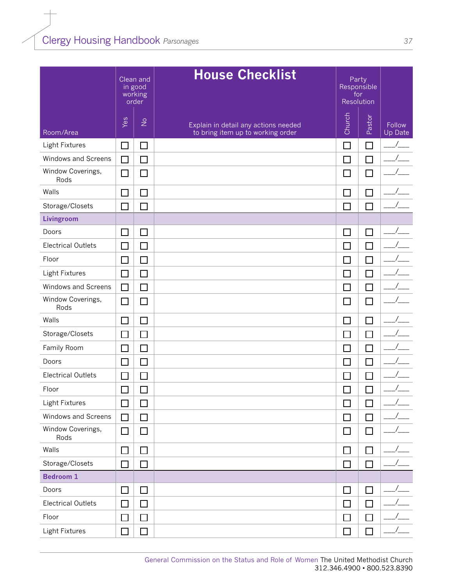|                           | Clean and<br>in good<br>working<br>order |               | <b>House Checklist</b>                                                    | Party<br>Responsible<br>for<br>Resolution |              |                          |
|---------------------------|------------------------------------------|---------------|---------------------------------------------------------------------------|-------------------------------------------|--------------|--------------------------|
| Room/Area                 | Yes                                      | $\frac{1}{2}$ | Explain in detail any actions needed<br>to bring item up to working order | Church                                    | Pastor       | Follow<br><b>Up Date</b> |
| Light Fixtures            | □                                        | $\Box$        |                                                                           | $\mathbb{Z}^2$                            | П            |                          |
| Windows and Screens       | $\Box$                                   | $\Box$        |                                                                           | $\Box$                                    | $\Box$       |                          |
| Window Coverings,<br>Rods | $\Box$                                   | $\Box$        |                                                                           | $\Box$                                    | $\Box$       |                          |
| Walls                     | $\Box$                                   | $\Box$        |                                                                           | $\Box$                                    | П            |                          |
| Storage/Closets           | $\Box$                                   | $\Box$        |                                                                           | $\Box$                                    | П            |                          |
| Livingroom                |                                          |               |                                                                           |                                           |              |                          |
| Doors                     | $\Box$                                   | $\Box$        |                                                                           | $\Box$                                    | $\Box$       |                          |
| <b>Electrical Outlets</b> | $\Box$                                   | $\Box$        |                                                                           | $\Box$                                    | П            |                          |
| Floor                     | $\Box$                                   | $\Box$        |                                                                           | $\Box$                                    | П            |                          |
| Light Fixtures            | $\Box$                                   | $\Box$        |                                                                           | $\overline{\phantom{a}}$                  | П            |                          |
| Windows and Screens       | $\Box$                                   | $\Box$        |                                                                           | $\Box$                                    | $\Box$       |                          |
| Window Coverings,<br>Rods | $\Box$                                   | $\Box$        |                                                                           | $\Box$                                    | $\Box$       |                          |
| Walls                     | $\Box$                                   | $\Box$        |                                                                           | $\Box$                                    | $\Box$       |                          |
| Storage/Closets           | □                                        | $\Box$        |                                                                           | $\Box$                                    | П            |                          |
| Family Room               | $\Box$                                   | □             |                                                                           | $\Box$                                    | $\Box$       |                          |
| Doors                     | $\mathbb{R}^n$                           | $\Box$        |                                                                           | П                                         | П            |                          |
| <b>Electrical Outlets</b> |                                          | $\Box$        |                                                                           | ٦                                         | П            |                          |
| Floor                     | $\Box$                                   | $\Box$        |                                                                           | ┓                                         | $\mathbf{I}$ |                          |
| Light Fixtures            | $\Box$                                   | $\Box$        |                                                                           | $\overline{\phantom{a}}$                  | $\Box$       |                          |
| Windows and Screens       | $\Box$                                   | $\Box$        |                                                                           | $\Box$                                    | $\Box$       |                          |
| Window Coverings,<br>Rods | $\Box$                                   | $\Box$        |                                                                           | □                                         | $\Box$       |                          |
| Walls                     | $\Box$                                   | □             |                                                                           | $\Box$                                    | П            |                          |
| Storage/Closets           | $\mathbf{I}$                             | $\Box$        |                                                                           | $\Box$                                    | $\Box$       |                          |
| <b>Bedroom 1</b>          |                                          |               |                                                                           |                                           |              |                          |
| Doors                     | □                                        | $\Box$        |                                                                           | $\Box$                                    | $\Box$       |                          |
| <b>Electrical Outlets</b> | $\Box$                                   | $\Box$        |                                                                           | $\Box$                                    | $\Box$       |                          |
| Floor                     | $\Box$                                   | $\Box$        |                                                                           | $\Box$                                    | П            |                          |
| Light Fixtures            | $\Box$                                   | $\Box$        |                                                                           | $\Box$                                    | $\Box$       |                          |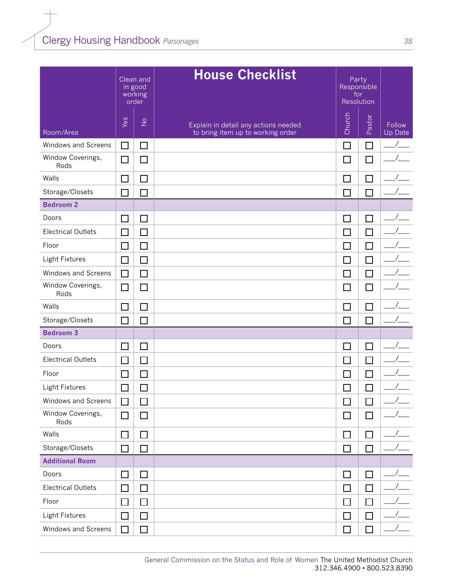|                           |        | Clean and<br>in good<br>working<br>order | <b>House Checklist</b>                                                    | Party<br>Responsible<br>for<br>Resolution |                             |                   |
|---------------------------|--------|------------------------------------------|---------------------------------------------------------------------------|-------------------------------------------|-----------------------------|-------------------|
| Room/Area                 | Yes    | $\frac{1}{2}$                            | Explain in detail any actions needed<br>to bring item up to working order | Church                                    | Pastor                      | Follow<br>Up Date |
| Windows and Screens       | $\Box$ | $\overline{\phantom{a}}$                 |                                                                           | $\Box$                                    | П                           |                   |
| Window Coverings,<br>Rods | $\Box$ | $\Box$                                   |                                                                           | $\Box$                                    | $\Box$                      |                   |
| Walls                     | $\Box$ | $\Box$                                   |                                                                           | П                                         | $\Box$                      |                   |
| Storage/Closets           | П      | $\Box$                                   |                                                                           | $\Box$                                    | П                           |                   |
| <b>Bedroom 2</b>          |        |                                          |                                                                           |                                           |                             |                   |
| Doors                     | $\Box$ | $\Box$                                   |                                                                           | $\Box$                                    | $\Box$                      |                   |
| <b>Electrical Outlets</b> | $\Box$ | $\Box$                                   |                                                                           | $\Box$                                    | $\Box$                      |                   |
| Floor                     | $\Box$ | $\Box$                                   |                                                                           | $\Box$                                    | П                           |                   |
| Light Fixtures            | $\Box$ | $\Box$                                   |                                                                           | П                                         | $\Box$                      |                   |
| Windows and Screens       | $\Box$ | $\Box$                                   |                                                                           | $\Box$                                    | $\Box$                      |                   |
| Window Coverings,<br>Rods | $\Box$ | $\Box$                                   |                                                                           | $\Box$                                    | $\Box$                      |                   |
| Walls                     | $\Box$ | $\Box$                                   |                                                                           | П                                         | П                           |                   |
| Storage/Closets           | $\Box$ | $\Box$                                   |                                                                           | $\Box$                                    |                             |                   |
| <b>Bedroom 3</b>          |        |                                          |                                                                           |                                           |                             |                   |
| Doors                     | $\Box$ | $\Box$                                   |                                                                           | $\Box$                                    | $\Box$                      |                   |
| <b>Electrical Outlets</b> | $\Box$ | $\Box$                                   |                                                                           | $\Box$                                    | $\Box$                      |                   |
| Floor                     | $\Box$ | $\Box$                                   |                                                                           | $\Box$                                    | $\Box$                      |                   |
| Light Fixtures            | $\Box$ | $\Box$                                   |                                                                           | $\Box$                                    | $\mathcal{L}_{\mathcal{A}}$ |                   |
| Windows and Screens       | $\Box$ | $\Box$                                   |                                                                           | $\Box$                                    | ⊔                           |                   |
| Window Coverings,<br>Rods | □      | □                                        |                                                                           | $\Box$                                    | $\Box$                      |                   |
| Walls                     | □      | $\Box$                                   |                                                                           | $\Box$                                    | □                           |                   |
| Storage/Closets           | $\Box$ | $\Box$                                   |                                                                           | $\Box$                                    | П                           |                   |
| <b>Additional Room</b>    |        |                                          |                                                                           |                                           |                             |                   |
| Doors                     | $\Box$ | $\Box$                                   |                                                                           | $\Box$                                    | $\Box$                      |                   |
| <b>Electrical Outlets</b> | $\Box$ | □                                        |                                                                           | $\Box$                                    | $\Box$                      |                   |
| Floor                     | $\Box$ | □                                        |                                                                           | $\Box$                                    | $\Box$                      |                   |
| Light Fixtures            | $\Box$ | $\Box$                                   |                                                                           | $\Box$                                    | $\Box$                      |                   |
| Windows and Screens       | $\Box$ | $\Box$                                   |                                                                           | $\Box$                                    | $\Box$                      |                   |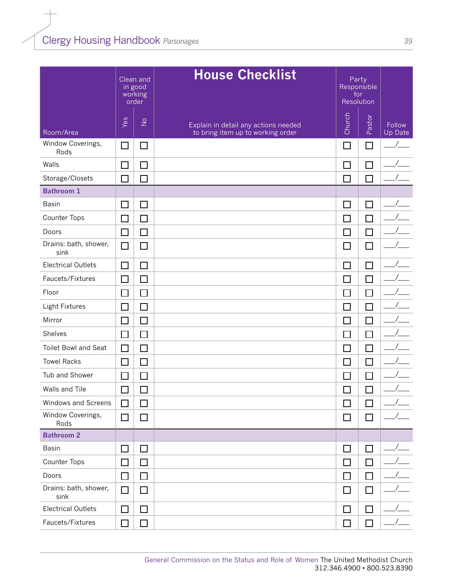|                               |                             | Clean and<br>in good<br>working<br>order | <b>House Checklist</b>                                                    | for                         | Party<br>Responsible<br>Resolution |                   |
|-------------------------------|-----------------------------|------------------------------------------|---------------------------------------------------------------------------|-----------------------------|------------------------------------|-------------------|
| Room/Area                     | Yes                         | $\frac{\circ}{\sim}$                     | Explain in detail any actions needed<br>to bring item up to working order | Church                      | Pastor                             | Follow<br>Up Date |
| Window Coverings,<br>Rods     | $\Box$                      | $\Box$                                   |                                                                           | $\Box$                      | $\Box$                             |                   |
| Walls                         | $\Box$                      | $\Box$                                   |                                                                           | $\Box$                      | $\Box$                             |                   |
| Storage/Closets               | $\Box$                      | $\Box$                                   |                                                                           | $\Box$                      | $\Box$                             |                   |
| <b>Bathroom 1</b>             |                             |                                          |                                                                           |                             |                                    |                   |
| <b>Basin</b>                  | $\mathbf{L}$                | $\Box$                                   |                                                                           |                             | L                                  |                   |
| Counter Tops                  | $\Box$                      | $\Box$                                   |                                                                           | $\Box$                      | $\Box$                             |                   |
| Doors                         | $\Box$                      | $\Box$                                   |                                                                           | $\Box$                      | $\Box$                             |                   |
| Drains: bath, shower,<br>sink | $\Box$                      | $\Box$                                   |                                                                           | $\Box$                      | $\Box$                             |                   |
| <b>Electrical Outlets</b>     | $\Box$                      | $\Box$                                   |                                                                           | $\Box$                      | $\Box$                             |                   |
| Faucets/Fixtures              | $\Box$                      | $\Box$                                   |                                                                           | $\mathsf{L}$                | $\Box$                             |                   |
| Floor                         | $\mathbf{I}$                | $\Box$                                   |                                                                           | $\mathcal{L}_{\mathcal{A}}$ | Г                                  |                   |
| Light Fixtures                | $\Box$                      | $\Box$                                   |                                                                           | $\Box$                      | Г                                  |                   |
| Mirror                        | $\Box$                      | $\Box$                                   |                                                                           | $\Box$                      | $\Box$                             |                   |
| Shelves                       | □                           | $\Box$                                   |                                                                           | $\Box$                      | $\Box$                             |                   |
| <b>Toilet Bowl and Seat</b>   | $\Box$                      | □                                        |                                                                           | $\mathcal{L}_{\mathcal{A}}$ | $\Box$                             |                   |
| <b>Towel Racks</b>            | $\Box$                      | $\Box$                                   |                                                                           | $\Box$                      | ┍                                  |                   |
| Tub and Shower                | $\Box$                      | $\Box$                                   |                                                                           | П                           | ⊏                                  |                   |
| Walls and Tile                | $\Box$                      | П                                        |                                                                           | $\Box$                      | I.                                 |                   |
| Windows and Screens           | $\Box$                      | $\Box$                                   |                                                                           | $\mathcal{L}_{\mathcal{A}}$ | $\Box$                             |                   |
| Window Coverings,<br>Rods     | $\Box$                      | □                                        |                                                                           | $\Box$                      | $\Box$                             |                   |
| <b>Bathroom 2</b>             |                             |                                          |                                                                           |                             |                                    |                   |
| <b>Basin</b>                  | $\mathcal{L}_{\mathcal{A}}$ | $\Box$                                   |                                                                           | $\Box$                      | $\mathcal{L}_{\mathcal{A}}$        |                   |
| Counter Tops                  | $\Box$                      | $\Box$                                   |                                                                           | $\Box$                      | $\Box$                             |                   |
| Doors                         | □                           | □                                        |                                                                           | $\Box$                      | $\Box$                             |                   |
| Drains: bath, shower,<br>sink | □                           | □                                        |                                                                           | $\Box$                      | $\Box$                             |                   |
| <b>Electrical Outlets</b>     | $\Box$                      | $\Box$                                   |                                                                           | $\Box$                      | $\Box$                             |                   |
| Faucets/Fixtures              | □                           | $\Box$                                   |                                                                           | $\Box$                      | $\Box$                             |                   |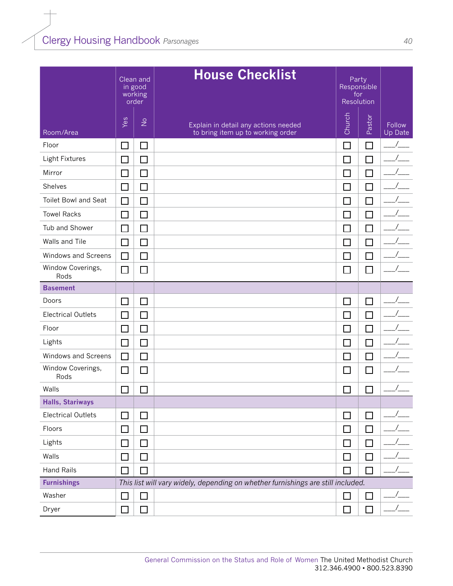|                             | Clean and<br>in good<br>working<br>order |                      |                                                                                  |                             | <b>House Checklist</b> |                   | Party<br>Responsible<br>for<br>Resolution |  |
|-----------------------------|------------------------------------------|----------------------|----------------------------------------------------------------------------------|-----------------------------|------------------------|-------------------|-------------------------------------------|--|
| Room/Area                   | Yes                                      | $\frac{\circ}{\sim}$ | Explain in detail any actions needed<br>to bring item up to working order        | Church                      | Pastor                 | Follow<br>Up Date |                                           |  |
| Floor                       | $\Box$                                   | $\Box$               |                                                                                  | $\Box$                      | $\Box$                 |                   |                                           |  |
| Light Fixtures              | $\Box$                                   | $\Box$               |                                                                                  | $\mathcal{L}_{\mathcal{A}}$ | $\Box$                 |                   |                                           |  |
| Mirror                      | $\Box$                                   | $\Box$               |                                                                                  | $\Box$                      | $\Box$                 |                   |                                           |  |
| Shelves                     | $\Box$                                   | $\Box$               |                                                                                  | $\mathbb{R}^n$              | $\Box$                 |                   |                                           |  |
| <b>Toilet Bowl and Seat</b> | $\Box$                                   | $\Box$               |                                                                                  | $\Box$                      | $\Box$                 |                   |                                           |  |
| <b>Towel Racks</b>          | □                                        | $\Box$               |                                                                                  | $\Box$                      | $\Box$                 |                   |                                           |  |
| Tub and Shower              | П                                        | $\Box$               |                                                                                  | $\Box$                      | П                      |                   |                                           |  |
| Walls and Tile              | П                                        | $\Box$               |                                                                                  | Г                           | П                      |                   |                                           |  |
| Windows and Screens         | $\Box$                                   | $\Box$               |                                                                                  | $\Box$                      | $\Box$                 |                   |                                           |  |
| Window Coverings,<br>Rods   | $\Box$                                   | $\Box$               |                                                                                  | $\Box$                      | $\Box$                 |                   |                                           |  |
| <b>Basement</b>             |                                          |                      |                                                                                  |                             |                        |                   |                                           |  |
| Doors                       | $\Box$                                   | $\Box$               |                                                                                  | $\Box$                      | $\Box$                 |                   |                                           |  |
| <b>Electrical Outlets</b>   | $\Box$                                   | $\Box$               |                                                                                  | П                           | $\Box$                 |                   |                                           |  |
| Floor                       | $\mathbf{I}$                             | $\Box$               |                                                                                  | $\mathbb{R}^n$              | I.                     |                   |                                           |  |
| Lights                      | $\Box$                                   | $\Box$               |                                                                                  | $\Box$                      | $\Box$                 |                   |                                           |  |
| Windows and Screens         | $\Box$                                   | $\Box$               |                                                                                  | $\Box$                      | $\Box$                 |                   |                                           |  |
| Window Coverings,<br>Rods   | $\Box$                                   | $\Box$               |                                                                                  | $\mathsf{L}$                | $\Box$                 |                   |                                           |  |
| Walls                       |                                          | J.                   |                                                                                  | $\Box$                      |                        |                   |                                           |  |
| <b>Halls, Stariways</b>     |                                          |                      |                                                                                  |                             |                        |                   |                                           |  |
| <b>Electrical Outlets</b>   | $\Box$                                   | □                    |                                                                                  | $\Box$                      | $\Box$                 |                   |                                           |  |
| Floors                      | $\Box$                                   | $\Box$               |                                                                                  | $\Box$                      | $\Box$                 |                   |                                           |  |
| Lights                      | $\Box$                                   | $\Box$               |                                                                                  | $\Box$                      | $\Box$                 |                   |                                           |  |
| Walls                       | $\Box$                                   | $\Box$               |                                                                                  | $\Box$                      | $\Box$                 |                   |                                           |  |
| <b>Hand Rails</b>           | $\mathbf{I}$                             | $\mathcal{L}$        |                                                                                  | $\Box$                      | $\Box$                 |                   |                                           |  |
| <b>Furnishings</b>          |                                          |                      | This list will vary widely, depending on whether furnishings are still included. |                             |                        |                   |                                           |  |
| Washer                      | $\Box$                                   | $\Box$               |                                                                                  | $\Box$                      | $\Box$                 |                   |                                           |  |
| Dryer                       | $\Box$                                   | $\Box$               |                                                                                  | $\Box$                      | □                      |                   |                                           |  |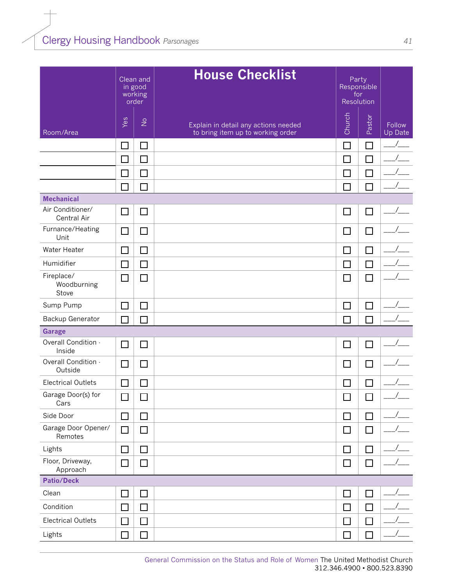|                                    |                             | Clean and<br>in good<br>working<br>order | <b>House Checklist</b>                                                    | Party<br>Responsible<br>for<br>Resolution |        |                   |
|------------------------------------|-----------------------------|------------------------------------------|---------------------------------------------------------------------------|-------------------------------------------|--------|-------------------|
| Room/Area                          | Yes                         | $\frac{1}{2}$                            | Explain in detail any actions needed<br>to bring item up to working order | Church                                    | Pastor | Follow<br>Up Date |
|                                    | $\Box$                      | $\Box$                                   |                                                                           | $\Box$                                    | $\Box$ |                   |
|                                    | $\Box$                      | $\Box$                                   |                                                                           | $\Box$                                    | П      |                   |
|                                    | $\Box$                      | $\Box$                                   |                                                                           | $\Box$                                    | $\Box$ |                   |
|                                    | $\mathcal{L}$               | П                                        |                                                                           | ┑                                         | П      |                   |
| <b>Mechanical</b>                  |                             |                                          |                                                                           |                                           |        |                   |
| Air Conditioner/<br>Central Air    | □                           | $\Box$                                   |                                                                           | $\Box$                                    | $\Box$ |                   |
| Furnance/Heating<br>Unit           | $\Box$                      | П                                        |                                                                           | $\Box$                                    | $\Box$ |                   |
| Water Heater                       | $\Box$                      | П                                        |                                                                           | $\Box$                                    | П      |                   |
| Humidifier                         | $\mathcal{L}_{\mathcal{A}}$ | $\Box$                                   |                                                                           | $\Box$                                    | П      |                   |
| Fireplace/<br>Woodburning<br>Stove | $\Box$                      | $\mathcal{L}_{\mathcal{A}}$              |                                                                           | $\overline{\phantom{0}}$                  | $\Box$ |                   |
| Sump Pump                          | □                           | $\mathcal{L}_{\mathcal{A}}$              |                                                                           | $\overline{\phantom{0}}$                  | П      |                   |
| Backup Generator                   | $\mathcal{L}$               | $\sim$                                   |                                                                           | ┐                                         | $\Box$ |                   |
| <b>Garage</b>                      |                             |                                          |                                                                           |                                           |        |                   |
| Overall Condition -<br>Inside      | $\Box$                      | $\mathcal{L}_{\mathcal{A}}$              |                                                                           | $\Box$                                    | П      |                   |
| Overall Condition -<br>Outside     | □                           | $\Box$                                   |                                                                           | $\Box$                                    | $\Box$ |                   |
| <b>Electrical Outlets</b>          | $\Box$                      | $\Box$                                   |                                                                           | $\Box$                                    | $\Box$ |                   |
| Garage Door(s) for<br>Cars         | $\Box$                      | $\Box$                                   |                                                                           | $\Box$                                    | $\Box$ |                   |
| Side Door                          | $\Box$                      | $\Box$                                   |                                                                           | $\Box$                                    | $\Box$ |                   |
| Garage Door Opener/<br>Remotes     | $\Box$                      | □                                        |                                                                           | $\Box$                                    | $\Box$ |                   |
| Lights                             | $\Box$                      | $\Box$                                   |                                                                           | $\Box$                                    | $\Box$ |                   |
| Floor, Driveway,<br>Approach       | $\Box$                      | $\Box$                                   |                                                                           | $\Box$                                    | $\Box$ |                   |
| <b>Patio/Deck</b>                  |                             |                                          |                                                                           |                                           |        |                   |
| Clean                              | □                           | $\Box$                                   |                                                                           | $\Box$                                    | $\Box$ |                   |
| Condition                          | $\Box$                      | $\Box$                                   |                                                                           | $\Box$                                    | $\Box$ |                   |
| <b>Electrical Outlets</b>          | $\Box$                      | $\Box$                                   |                                                                           | $\Box$                                    | П      |                   |
| Lights                             |                             | $\sim$                                   |                                                                           | J.                                        | $\Box$ |                   |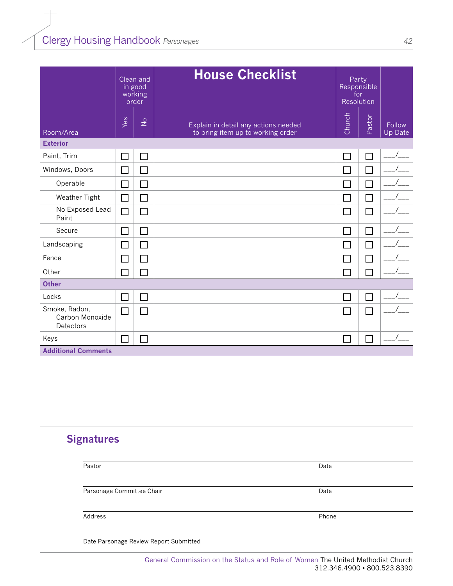|                                               | Clean and<br>in good<br>working<br>order |               | <b>House Checklist</b>                                                    | Party<br>Responsible<br>for<br>Resolution |        |                   |  |
|-----------------------------------------------|------------------------------------------|---------------|---------------------------------------------------------------------------|-------------------------------------------|--------|-------------------|--|
| Room/Area                                     | Yes                                      | $\frac{1}{2}$ | Explain in detail any actions needed<br>to bring item up to working order | Church                                    | Pastor | Follow<br>Up Date |  |
| <b>Exterior</b>                               |                                          |               |                                                                           |                                           |        |                   |  |
| Paint, Trim                                   | П                                        | $\Box$        |                                                                           | П                                         | $\Box$ |                   |  |
| Windows, Doors                                | П                                        | П             |                                                                           | П                                         | П      |                   |  |
| Operable                                      | ΙI                                       | $\Box$        |                                                                           | П                                         | П      |                   |  |
| Weather Tight                                 | $\Box$                                   | □             |                                                                           | $\Box$                                    | $\Box$ |                   |  |
| No Exposed Lead<br>Paint                      | П                                        | $\Box$        |                                                                           | $\Box$                                    | П      |                   |  |
| Secure                                        | $\mathbf{1}$                             | $\mathsf{L}$  |                                                                           | T.                                        | П      |                   |  |
| Landscaping                                   | П                                        | П             |                                                                           | П                                         | П      |                   |  |
| Fence                                         | П                                        | $\Box$        |                                                                           | П                                         | П      |                   |  |
| Other                                         |                                          |               |                                                                           | П                                         | П      |                   |  |
| <b>Other</b>                                  |                                          |               |                                                                           |                                           |        |                   |  |
| Locks                                         | ΙI                                       | $\Box$        |                                                                           | $\Box$                                    | $\Box$ |                   |  |
| Smoke, Radon,<br>Carbon Monoxide<br>Detectors | П                                        | П             |                                                                           | П                                         | П      |                   |  |
| Keys                                          | ΙI                                       |               |                                                                           | $\mathcal{L}$                             | П      |                   |  |
| <b>Additional Comments</b>                    |                                          |               |                                                                           |                                           |        |                   |  |

### **Signatures**

| Pastor                                 | Date  |
|----------------------------------------|-------|
|                                        |       |
| Parsonage Committee Chair              | Date  |
|                                        |       |
| Address                                | Phone |
|                                        |       |
| Date Parsonage Review Report Submitted |       |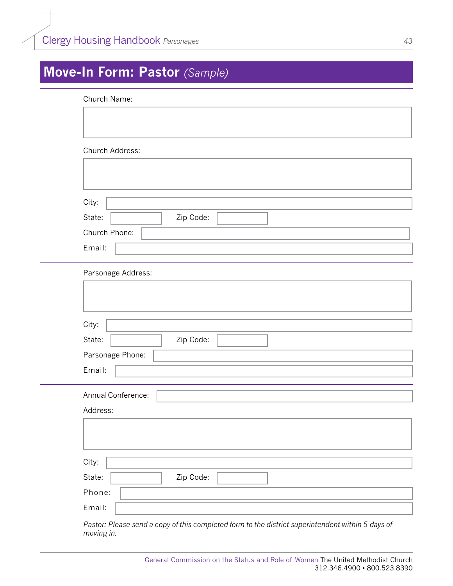# <span id="page-43-0"></span>**Move-In Form: Pastor** *(Sample)*

| Church Name:        |
|---------------------|
|                     |
|                     |
|                     |
| Church Address:     |
|                     |
|                     |
| City:               |
| State:<br>Zip Code: |
| Church Phone:       |
| Email:              |
|                     |
| Parsonage Address:  |
|                     |
|                     |
|                     |
| City:               |
| State:<br>Zip Code: |
| Parsonage Phone:    |
| Email:              |
|                     |
| Annual Conference:  |
| Address:            |
|                     |
|                     |
|                     |
| City:               |
| Zip Code:<br>State: |
| Phone:              |
| Email:              |
|                     |

*Pastor: Please send a copy of this completed form to the district superintendent within 5 days of moving in.*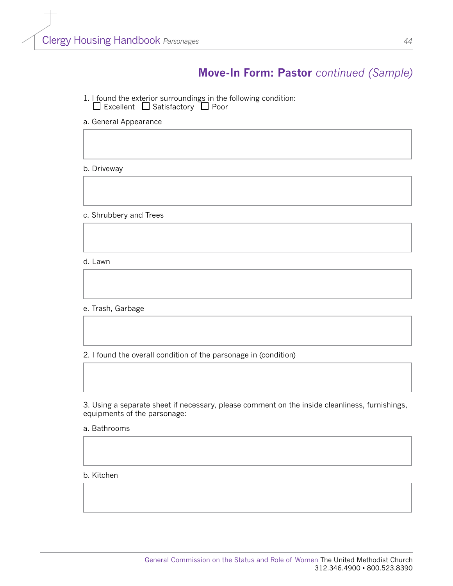### **Move-In Form: Pastor** *continued (Sample)*

- 1. I found the exterior surroundings in the following condition: Excellent LJ Satisfactory LJ Poor
- a. General Appearance

b. Driveway

c. Shrubbery and Trees

d. Lawn

#### e. Trash, Garbage

2. I found the overall condition of the parsonage in (condition)

3. Using a separate sheet if necessary, please comment on the inside cleanliness, furnishings, equipments of the parsonage:

a. Bathrooms

b. Kitchen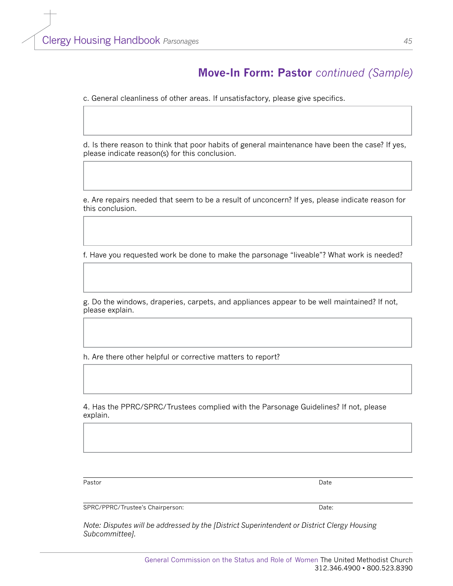### **Move-In Form: Pastor** *continued (Sample)*

c. General cleanliness of other areas. If unsatisfactory, please give specifics.

d. Is there reason to think that poor habits of general maintenance have been the case? If yes, please indicate reason(s) for this conclusion.

e. Are repairs needed that seem to be a result of unconcern? If yes, please indicate reason for this conclusion.

f. Have you requested work be done to make the parsonage "liveable"? What work is needed?

g. Do the windows, draperies, carpets, and appliances appear to be well maintained? If not, please explain.

h. Are there other helpful or corrective matters to report?

4. Has the PPRC/SPRC/Trustees complied with the Parsonage Guidelines? If not, please explain.

Pastor Date

SPRC/PPRC/Trustee's Chairperson: Date: Date:

*Note: Disputes will be addressed by the [District Superintendent or District Clergy Housing Subcommittee].*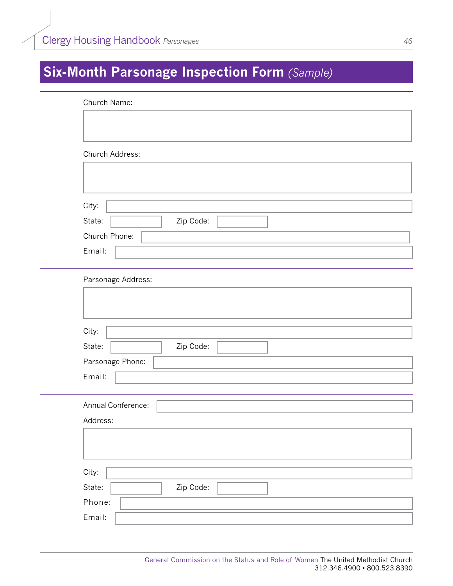# <span id="page-46-0"></span>**Six-Month Parsonage Inspection Form** *(Sample)*

| Church Name:       |           |  |
|--------------------|-----------|--|
|                    |           |  |
|                    |           |  |
| Church Address:    |           |  |
|                    |           |  |
|                    |           |  |
|                    |           |  |
| City:              |           |  |
| State:             | Zip Code: |  |
| Church Phone:      |           |  |
| Email:             |           |  |
|                    |           |  |
| Parsonage Address: |           |  |
|                    |           |  |
|                    |           |  |
|                    |           |  |
| City:              |           |  |
| State:             | Zip Code: |  |
| Parsonage Phone:   |           |  |
| Email:             |           |  |
|                    |           |  |
| Annual Conference: |           |  |
| Address:           |           |  |
|                    |           |  |
|                    |           |  |
| City:              |           |  |
| State:             | Zip Code: |  |
| Phone:             |           |  |
| Email:             |           |  |
|                    |           |  |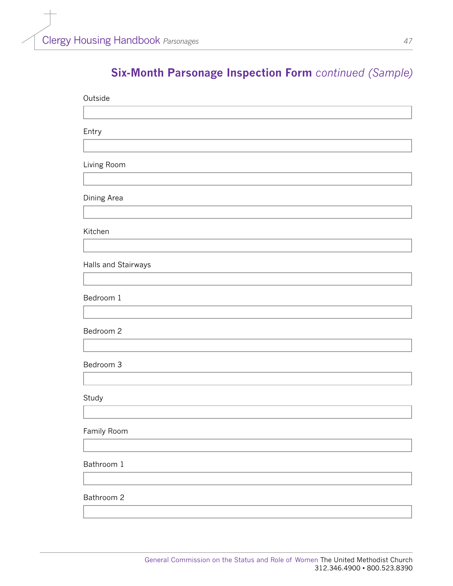## **Six-Month Parsonage Inspection Form** *continued (Sample)*

| Outside             |
|---------------------|
|                     |
| Entry               |
|                     |
| Living Room         |
|                     |
| Dining Area         |
|                     |
| Kitchen             |
|                     |
| Halls and Stairways |
|                     |
| Bedroom 1           |
|                     |
| Bedroom 2           |
|                     |
| Bedroom 3           |
|                     |
| Study               |
|                     |
| Family Room         |
|                     |
| Bathroom 1          |
|                     |
| Bathroom 2          |
|                     |
|                     |